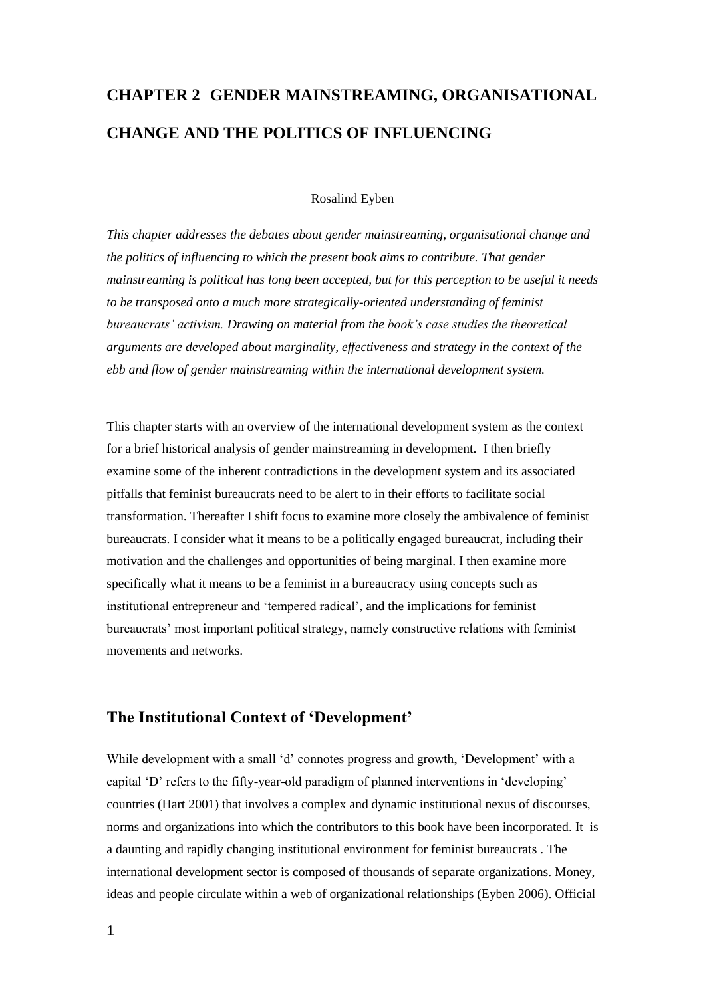# **CHAPTER 2 GENDER MAINSTREAMING, ORGANISATIONAL CHANGE AND THE POLITICS OF INFLUENCING**

#### Rosalind Eyben

*This chapter addresses the debates about gender mainstreaming, organisational change and the politics of influencing to which the present book aims to contribute. That gender mainstreaming is political has long been accepted, but for this perception to be useful it needs to be transposed onto a much more strategically-oriented understanding of feminist bureaucrats' activism. Drawing on material from the book's case studies the theoretical arguments are developed about marginality, effectiveness and strategy in the context of the ebb and flow of gender mainstreaming within the international development system.*

This chapter starts with an overview of the international development system as the context for a brief historical analysis of gender mainstreaming in development. I then briefly examine some of the inherent contradictions in the development system and its associated pitfalls that feminist bureaucrats need to be alert to in their efforts to facilitate social transformation. Thereafter I shift focus to examine more closely the ambivalence of feminist bureaucrats. I consider what it means to be a politically engaged bureaucrat, including their motivation and the challenges and opportunities of being marginal. I then examine more specifically what it means to be a feminist in a bureaucracy using concepts such as institutional entrepreneur and 'tempered radical', and the implications for feminist bureaucrats' most important political strategy, namely constructive relations with feminist movements and networks.

# **The Institutional Context of 'Development'**

While development with a small 'd' connotes progress and growth, 'Development' with a capital 'D' refers to the fifty-year-old paradigm of planned interventions in 'developing' countries (Hart 2001) that involves a complex and dynamic institutional nexus of discourses, norms and organizations into which the contributors to this book have been incorporated. It is a daunting and rapidly changing institutional environment for feminist bureaucrats . The international development sector is composed of thousands of separate organizations. Money, ideas and people circulate within a web of organizational relationships (Eyben 2006). Official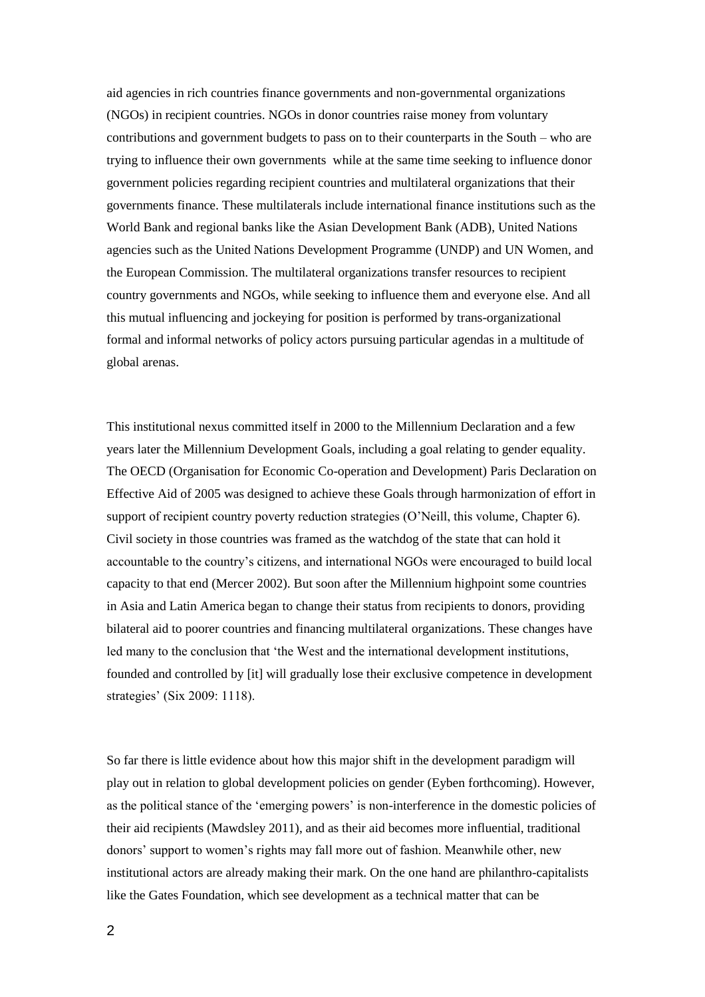aid agencies in rich countries finance governments and non-governmental organizations (NGOs) in recipient countries. NGOs in donor countries raise money from voluntary contributions and government budgets to pass on to their counterparts in the South – who are trying to influence their own governments while at the same time seeking to influence donor government policies regarding recipient countries and multilateral organizations that their governments finance. These multilaterals include international finance institutions such as the World Bank and regional banks like the Asian Development Bank (ADB), United Nations agencies such as the United Nations Development Programme (UNDP) and UN Women, and the European Commission. The multilateral organizations transfer resources to recipient country governments and NGOs, while seeking to influence them and everyone else. And all this mutual influencing and jockeying for position is performed by trans-organizational formal and informal networks of policy actors pursuing particular agendas in a multitude of global arenas.

This institutional nexus committed itself in 2000 to the Millennium Declaration and a few years later the Millennium Development Goals, including a goal relating to gender equality. The OECD (Organisation for Economic Co-operation and Development) Paris Declaration on Effective Aid of 2005 was designed to achieve these Goals through harmonization of effort in support of recipient country poverty reduction strategies (O'Neill, this volume, Chapter 6). Civil society in those countries was framed as the watchdog of the state that can hold it accountable to the country's citizens, and international NGOs were encouraged to build local capacity to that end (Mercer 2002). But soon after the Millennium highpoint some countries in Asia and Latin America began to change their status from recipients to donors, providing bilateral aid to poorer countries and financing multilateral organizations. These changes have led many to the conclusion that 'the West and the international development institutions, founded and controlled by [it] will gradually lose their exclusive competence in development strategies' (Six 2009: 1118).

So far there is little evidence about how this major shift in the development paradigm will play out in relation to global development policies on gender (Eyben forthcoming). However, as the political stance of the 'emerging powers' is non-interference in the domestic policies of their aid recipients (Mawdsley 2011), and as their aid becomes more influential, traditional donors' support to women's rights may fall more out of fashion. Meanwhile other, new institutional actors are already making their mark. On the one hand are philanthro-capitalists like the Gates Foundation, which see development as a technical matter that can be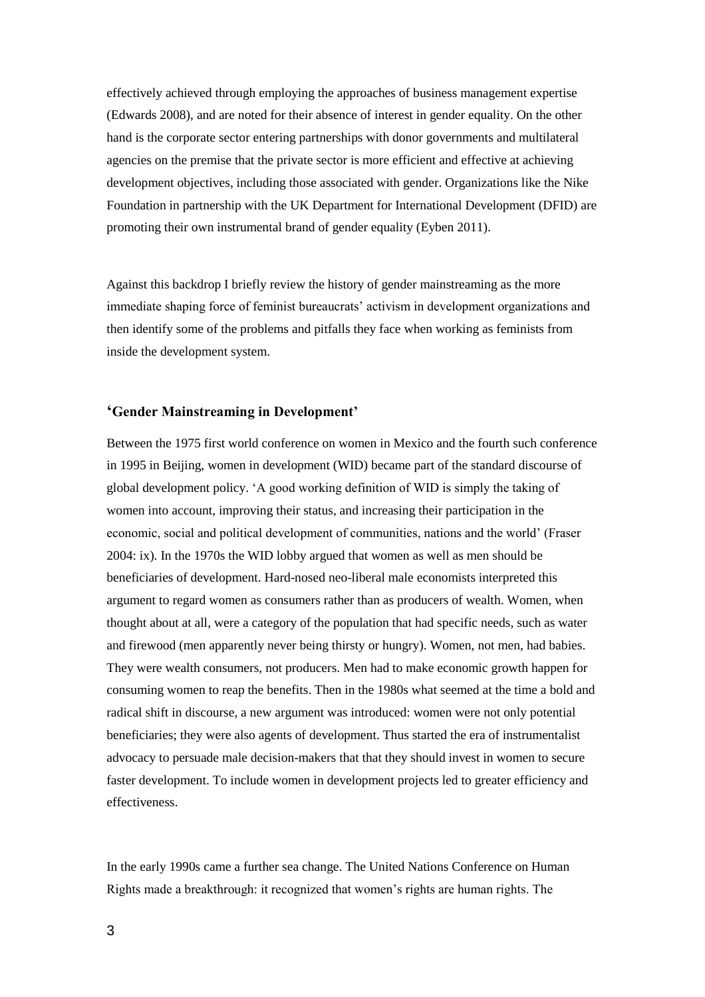effectively achieved through employing the approaches of business management expertise (Edwards 2008), and are noted for their absence of interest in gender equality. On the other hand is the corporate sector entering partnerships with donor governments and multilateral agencies on the premise that the private sector is more efficient and effective at achieving development objectives, including those associated with gender. Organizations like the Nike Foundation in partnership with the UK Department for International Development (DFID) are promoting their own instrumental brand of gender equality (Eyben 2011).

Against this backdrop I briefly review the history of gender mainstreaming as the more immediate shaping force of feminist bureaucrats' activism in development organizations and then identify some of the problems and pitfalls they face when working as feminists from inside the development system.

# **'Gender Mainstreaming in Development'**

Between the 1975 first world conference on women in Mexico and the fourth such conference in 1995 in Beijing, women in development (WID) became part of the standard discourse of global development policy. 'A good working definition of WID is simply the taking of women into account, improving their status, and increasing their participation in the economic, social and political development of communities, nations and the world' (Fraser 2004: ix). In the 1970s the WID lobby argued that women as well as men should be beneficiaries of development. Hard-nosed neo-liberal male economists interpreted this argument to regard women as consumers rather than as producers of wealth. Women, when thought about at all, were a category of the population that had specific needs, such as water and firewood (men apparently never being thirsty or hungry). Women, not men, had babies. They were wealth consumers, not producers. Men had to make economic growth happen for consuming women to reap the benefits. Then in the 1980s what seemed at the time a bold and radical shift in discourse, a new argument was introduced: women were not only potential beneficiaries; they were also agents of development. Thus started the era of instrumentalist advocacy to persuade male decision-makers that that they should invest in women to secure faster development. To include women in development projects led to greater efficiency and effectiveness.

In the early 1990s came a further sea change. The United Nations Conference on Human Rights made a breakthrough: it recognized that women's rights are human rights. The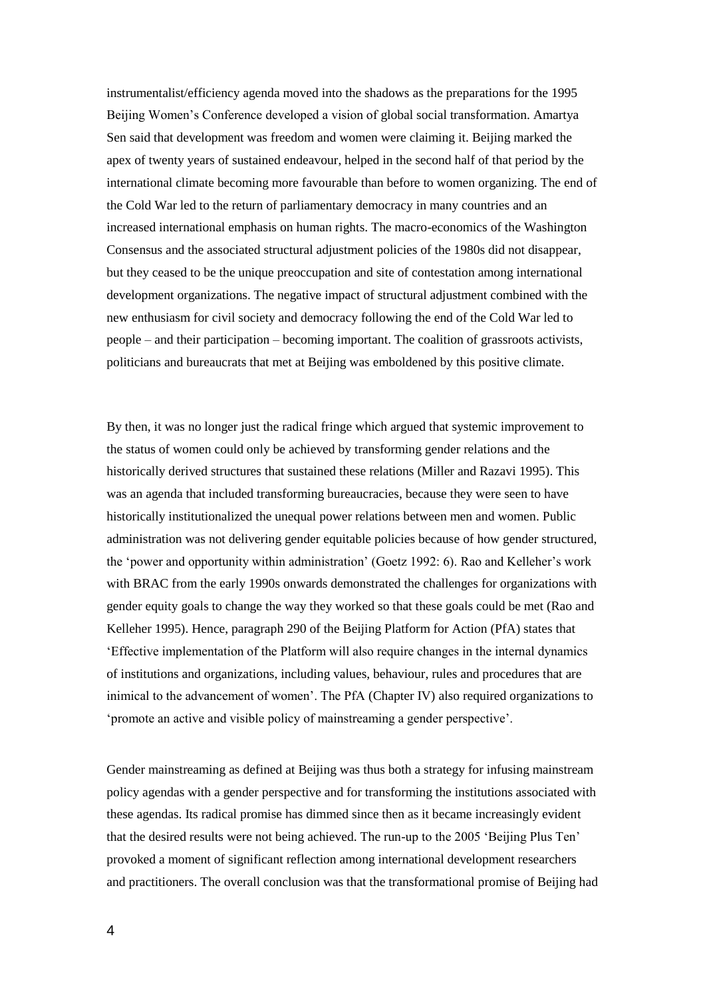instrumentalist/efficiency agenda moved into the shadows as the preparations for the 1995 Beijing Women's Conference developed a vision of global social transformation. Amartya Sen said that development was freedom and women were claiming it. Beijing marked the apex of twenty years of sustained endeavour, helped in the second half of that period by the international climate becoming more favourable than before to women organizing. The end of the Cold War led to the return of parliamentary democracy in many countries and an increased international emphasis on human rights. The macro-economics of the Washington Consensus and the associated structural adjustment policies of the 1980s did not disappear, but they ceased to be the unique preoccupation and site of contestation among international development organizations. The negative impact of structural adjustment combined with the new enthusiasm for civil society and democracy following the end of the Cold War led to people – and their participation – becoming important. The coalition of grassroots activists, politicians and bureaucrats that met at Beijing was emboldened by this positive climate.

By then, it was no longer just the radical fringe which argued that systemic improvement to the status of women could only be achieved by transforming gender relations and the historically derived structures that sustained these relations (Miller and Razavi 1995). This was an agenda that included transforming bureaucracies, because they were seen to have historically institutionalized the unequal power relations between men and women. Public administration was not delivering gender equitable policies because of how gender structured, the 'power and opportunity within administration' (Goetz 1992: 6). Rao and Kelleher's work with BRAC from the early 1990s onwards demonstrated the challenges for organizations with gender equity goals to change the way they worked so that these goals could be met (Rao and Kelleher 1995). Hence, paragraph 290 of the Beijing Platform for Action (PfA) states that 'Effective implementation of the Platform will also require changes in the internal dynamics of institutions and organizations, including values, behaviour, rules and procedures that are inimical to the advancement of women'. The PfA (Chapter IV) also required organizations to 'promote an active and visible policy of mainstreaming a gender perspective'.

Gender mainstreaming as defined at Beijing was thus both a strategy for infusing mainstream policy agendas with a gender perspective and for transforming the institutions associated with these agendas. Its radical promise has dimmed since then as it became increasingly evident that the desired results were not being achieved. The run-up to the 2005 'Beijing Plus Ten' provoked a moment of significant reflection among international development researchers and practitioners. The overall conclusion was that the transformational promise of Beijing had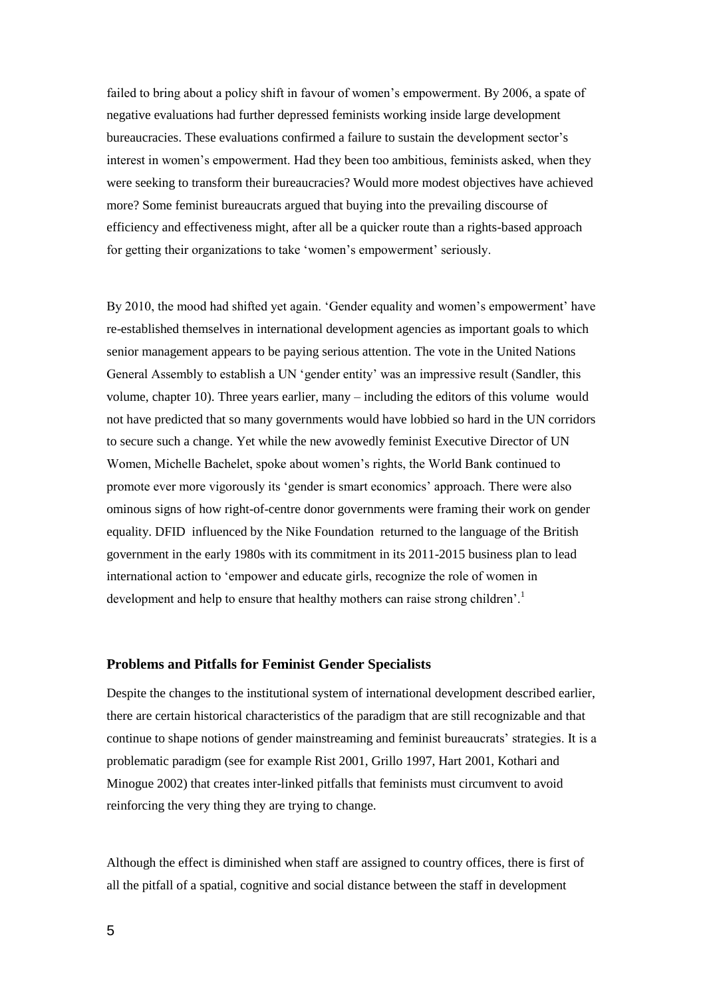failed to bring about a policy shift in favour of women's empowerment. By 2006, a spate of negative evaluations had further depressed feminists working inside large development bureaucracies. These evaluations confirmed a failure to sustain the development sector's interest in women's empowerment. Had they been too ambitious, feminists asked, when they were seeking to transform their bureaucracies? Would more modest objectives have achieved more? Some feminist bureaucrats argued that buying into the prevailing discourse of efficiency and effectiveness might, after all be a quicker route than a rights-based approach for getting their organizations to take 'women's empowerment' seriously.

By 2010, the mood had shifted yet again. 'Gender equality and women's empowerment' have re-established themselves in international development agencies as important goals to which senior management appears to be paying serious attention. The vote in the United Nations General Assembly to establish a UN 'gender entity' was an impressive result (Sandler, this volume, chapter 10). Three years earlier, many – including the editors of this volume would not have predicted that so many governments would have lobbied so hard in the UN corridors to secure such a change. Yet while the new avowedly feminist Executive Director of UN Women, Michelle Bachelet, spoke about women's rights, the World Bank continued to promote ever more vigorously its 'gender is smart economics' approach. There were also ominous signs of how right-of-centre donor governments were framing their work on gender equality. DFID influenced by the Nike Foundation returned to the language of the British government in the early 1980s with its commitment in its 2011-2015 business plan to lead international action to 'empower and educate girls, recognize the role of women in development and help to ensure that healthy mothers can raise strong children'.<sup>1</sup>

#### **Problems and Pitfalls for Feminist Gender Specialists**

Despite the changes to the institutional system of international development described earlier, there are certain historical characteristics of the paradigm that are still recognizable and that continue to shape notions of gender mainstreaming and feminist bureaucrats' strategies. It is a problematic paradigm (see for example Rist 2001, Grillo 1997, Hart 2001, Kothari and Minogue 2002) that creates inter-linked pitfalls that feminists must circumvent to avoid reinforcing the very thing they are trying to change.

Although the effect is diminished when staff are assigned to country offices, there is first of all the pitfall of a spatial, cognitive and social distance between the staff in development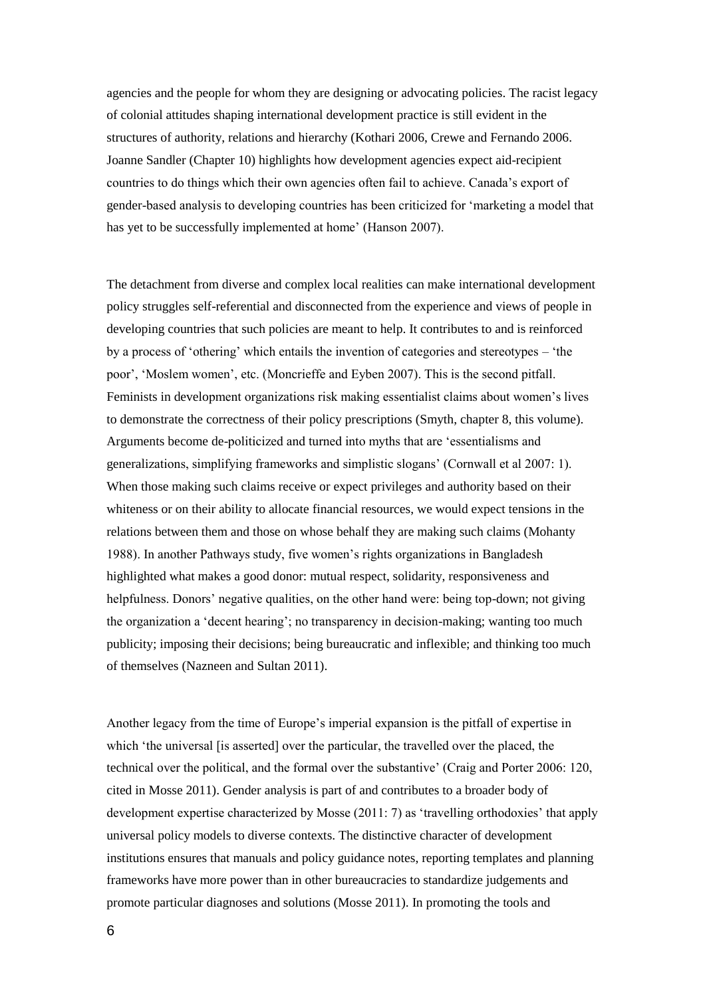agencies and the people for whom they are designing or advocating policies. The racist legacy of colonial attitudes shaping international development practice is still evident in the structures of authority, relations and hierarchy (Kothari 2006, Crewe and Fernando 2006. Joanne Sandler (Chapter 10) highlights how development agencies expect aid-recipient countries to do things which their own agencies often fail to achieve. Canada's export of gender-based analysis to developing countries has been criticized for 'marketing a model that has yet to be successfully implemented at home' (Hanson 2007).

The detachment from diverse and complex local realities can make international development policy struggles self-referential and disconnected from the experience and views of people in developing countries that such policies are meant to help. It contributes to and is reinforced by a process of 'othering' which entails the invention of categories and stereotypes – 'the poor', 'Moslem women', etc. (Moncrieffe and Eyben 2007). This is the second pitfall. Feminists in development organizations risk making essentialist claims about women's lives to demonstrate the correctness of their policy prescriptions (Smyth, chapter 8, this volume). Arguments become de-politicized and turned into myths that are 'essentialisms and generalizations, simplifying frameworks and simplistic slogans' (Cornwall et al 2007: 1). When those making such claims receive or expect privileges and authority based on their whiteness or on their ability to allocate financial resources, we would expect tensions in the relations between them and those on whose behalf they are making such claims (Mohanty 1988). In another Pathways study, five women's rights organizations in Bangladesh highlighted what makes a good donor: mutual respect, solidarity, responsiveness and helpfulness. Donors' negative qualities, on the other hand were: being top-down; not giving the organization a 'decent hearing'; no transparency in decision-making; wanting too much publicity; imposing their decisions; being bureaucratic and inflexible; and thinking too much of themselves (Nazneen and Sultan 2011).

Another legacy from the time of Europe's imperial expansion is the pitfall of expertise in which 'the universal [is asserted] over the particular, the travelled over the placed, the technical over the political, and the formal over the substantive' (Craig and Porter 2006: 120, cited in Mosse 2011). Gender analysis is part of and contributes to a broader body of development expertise characterized by Mosse (2011: 7) as 'travelling orthodoxies' that apply universal policy models to diverse contexts. The distinctive character of development institutions ensures that manuals and policy guidance notes, reporting templates and planning frameworks have more power than in other bureaucracies to standardize judgements and promote particular diagnoses and solutions (Mosse 2011). In promoting the tools and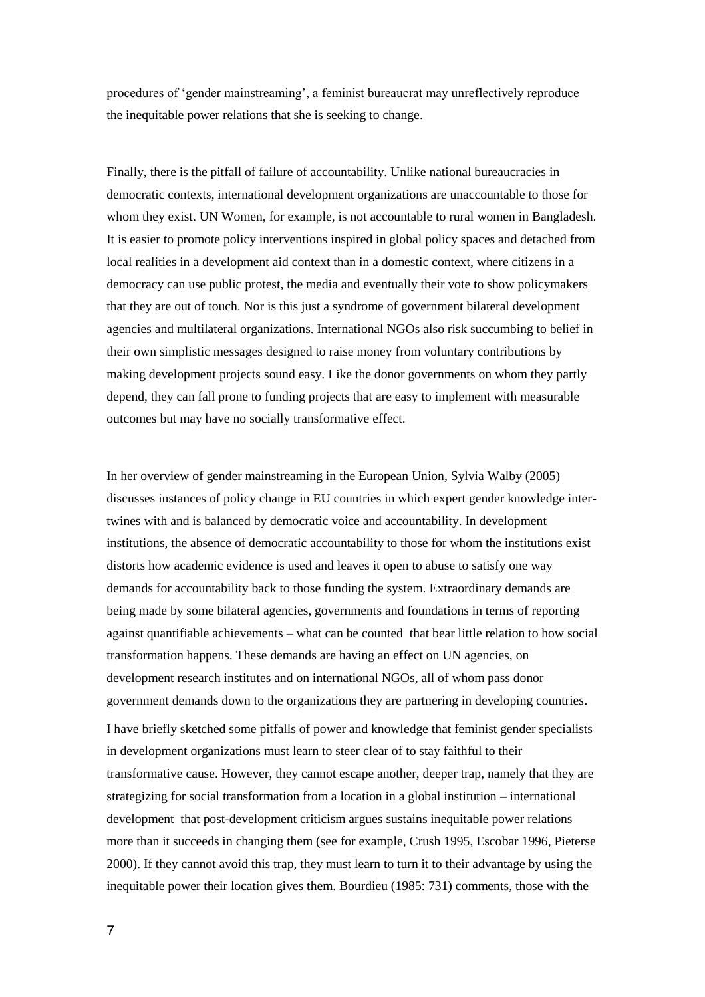procedures of 'gender mainstreaming', a feminist bureaucrat may unreflectively reproduce the inequitable power relations that she is seeking to change.

Finally, there is the pitfall of failure of accountability. Unlike national bureaucracies in democratic contexts, international development organizations are unaccountable to those for whom they exist. UN Women, for example, is not accountable to rural women in Bangladesh. It is easier to promote policy interventions inspired in global policy spaces and detached from local realities in a development aid context than in a domestic context, where citizens in a democracy can use public protest, the media and eventually their vote to show policymakers that they are out of touch. Nor is this just a syndrome of government bilateral development agencies and multilateral organizations. International NGOs also risk succumbing to belief in their own simplistic messages designed to raise money from voluntary contributions by making development projects sound easy. Like the donor governments on whom they partly depend, they can fall prone to funding projects that are easy to implement with measurable outcomes but may have no socially transformative effect.

In her overview of gender mainstreaming in the European Union, Sylvia Walby (2005) discusses instances of policy change in EU countries in which expert gender knowledge intertwines with and is balanced by democratic voice and accountability. In development institutions, the absence of democratic accountability to those for whom the institutions exist distorts how academic evidence is used and leaves it open to abuse to satisfy one way demands for accountability back to those funding the system. Extraordinary demands are being made by some bilateral agencies, governments and foundations in terms of reporting against quantifiable achievements – what can be counted that bear little relation to how social transformation happens. These demands are having an effect on UN agencies, on development research institutes and on international NGOs, all of whom pass donor government demands down to the organizations they are partnering in developing countries. I have briefly sketched some pitfalls of power and knowledge that feminist gender specialists in development organizations must learn to steer clear of to stay faithful to their transformative cause. However, they cannot escape another, deeper trap, namely that they are strategizing for social transformation from a location in a global institution – international development that post-development criticism argues sustains inequitable power relations more than it succeeds in changing them (see for example, Crush 1995, Escobar 1996, Pieterse 2000). If they cannot avoid this trap, they must learn to turn it to their advantage by using the inequitable power their location gives them. Bourdieu (1985: 731) comments, those with the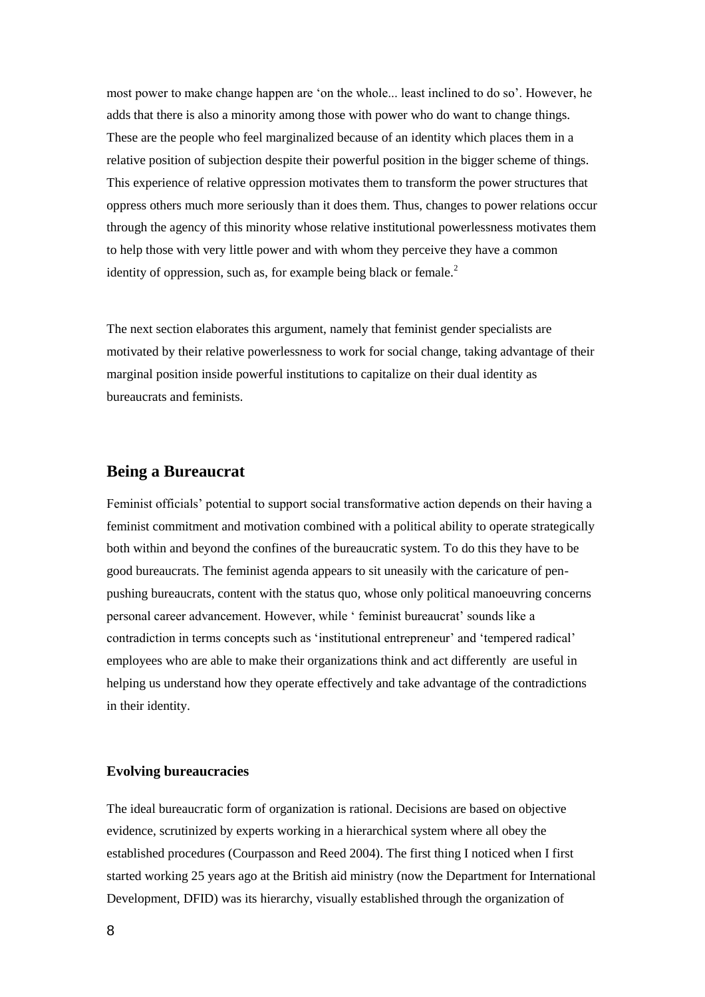most power to make change happen are 'on the whole... least inclined to do so'. However, he adds that there is also a minority among those with power who do want to change things. These are the people who feel marginalized because of an identity which places them in a relative position of subjection despite their powerful position in the bigger scheme of things. This experience of relative oppression motivates them to transform the power structures that oppress others much more seriously than it does them. Thus, changes to power relations occur through the agency of this minority whose relative institutional powerlessness motivates them to help those with very little power and with whom they perceive they have a common identity of oppression, such as, for example being black or female.<sup>2</sup>

The next section elaborates this argument, namely that feminist gender specialists are motivated by their relative powerlessness to work for social change, taking advantage of their marginal position inside powerful institutions to capitalize on their dual identity as bureaucrats and feminists.

### **Being a Bureaucrat**

Feminist officials' potential to support social transformative action depends on their having a feminist commitment and motivation combined with a political ability to operate strategically both within and beyond the confines of the bureaucratic system. To do this they have to be good bureaucrats. The feminist agenda appears to sit uneasily with the caricature of penpushing bureaucrats, content with the status quo, whose only political manoeuvring concerns personal career advancement. However, while ' feminist bureaucrat' sounds like a contradiction in terms concepts such as 'institutional entrepreneur' and 'tempered radical' employees who are able to make their organizations think and act differently are useful in helping us understand how they operate effectively and take advantage of the contradictions in their identity.

#### **Evolving bureaucracies**

The ideal bureaucratic form of organization is rational. Decisions are based on objective evidence, scrutinized by experts working in a hierarchical system where all obey the established procedures (Courpasson and Reed 2004). The first thing I noticed when I first started working 25 years ago at the British aid ministry (now the Department for International Development, DFID) was its hierarchy, visually established through the organization of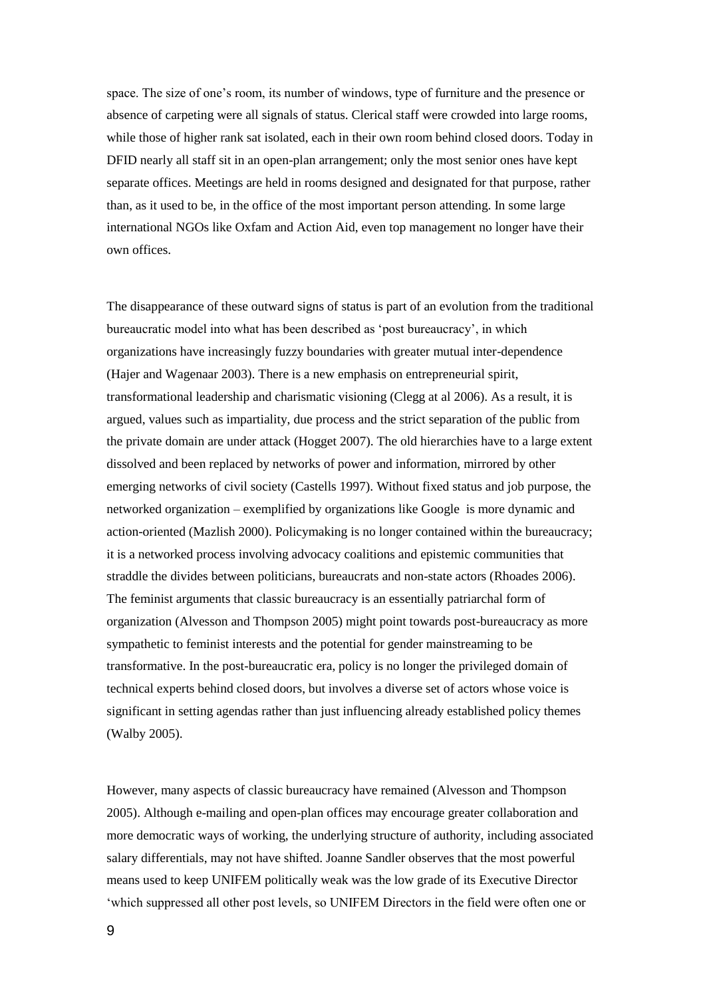space. The size of one's room, its number of windows, type of furniture and the presence or absence of carpeting were all signals of status. Clerical staff were crowded into large rooms, while those of higher rank sat isolated, each in their own room behind closed doors. Today in DFID nearly all staff sit in an open-plan arrangement; only the most senior ones have kept separate offices. Meetings are held in rooms designed and designated for that purpose, rather than, as it used to be, in the office of the most important person attending. In some large international NGOs like Oxfam and Action Aid, even top management no longer have their own offices.

The disappearance of these outward signs of status is part of an evolution from the traditional bureaucratic model into what has been described as 'post bureaucracy', in which organizations have increasingly fuzzy boundaries with greater mutual inter-dependence (Hajer and Wagenaar 2003). There is a new emphasis on entrepreneurial spirit, transformational leadership and charismatic visioning (Clegg at al 2006). As a result, it is argued, values such as impartiality, due process and the strict separation of the public from the private domain are under attack (Hogget 2007). The old hierarchies have to a large extent dissolved and been replaced by networks of power and information, mirrored by other emerging networks of civil society (Castells 1997). Without fixed status and job purpose, the networked organization – exemplified by organizations like Google is more dynamic and action-oriented (Mazlish 2000). Policymaking is no longer contained within the bureaucracy; it is a networked process involving advocacy coalitions and epistemic communities that straddle the divides between politicians, bureaucrats and non-state actors (Rhoades 2006). The feminist arguments that classic bureaucracy is an essentially patriarchal form of organization (Alvesson and Thompson 2005) might point towards post-bureaucracy as more sympathetic to feminist interests and the potential for gender mainstreaming to be transformative. In the post-bureaucratic era, policy is no longer the privileged domain of technical experts behind closed doors, but involves a diverse set of actors whose voice is significant in setting agendas rather than just influencing already established policy themes (Walby 2005).

However, many aspects of classic bureaucracy have remained (Alvesson and Thompson 2005). Although e-mailing and open-plan offices may encourage greater collaboration and more democratic ways of working, the underlying structure of authority, including associated salary differentials, may not have shifted. Joanne Sandler observes that the most powerful means used to keep UNIFEM politically weak was the low grade of its Executive Director 'which suppressed all other post levels, so UNIFEM Directors in the field were often one or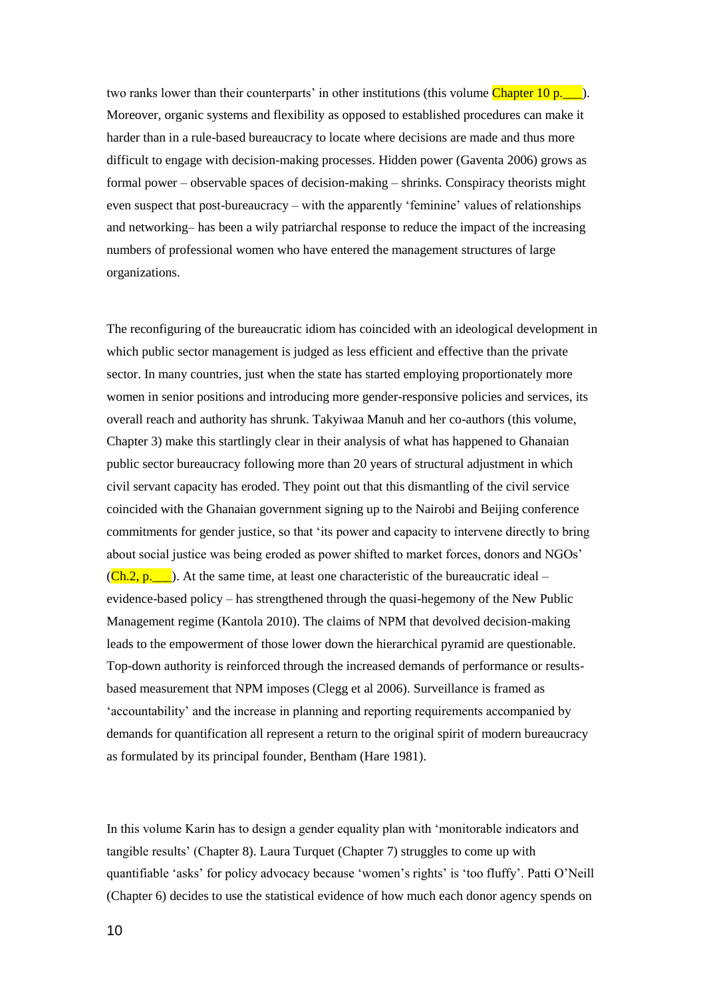two ranks lower than their counterparts' in other institutions (this volume Chapter 10 p. ). Moreover, organic systems and flexibility as opposed to established procedures can make it harder than in a rule-based bureaucracy to locate where decisions are made and thus more difficult to engage with decision-making processes. Hidden power (Gaventa 2006) grows as formal power – observable spaces of decision-making – shrinks. Conspiracy theorists might even suspect that post-bureaucracy – with the apparently 'feminine' values of relationships and networking– has been a wily patriarchal response to reduce the impact of the increasing numbers of professional women who have entered the management structures of large organizations.

The reconfiguring of the bureaucratic idiom has coincided with an ideological development in which public sector management is judged as less efficient and effective than the private sector. In many countries, just when the state has started employing proportionately more women in senior positions and introducing more gender-responsive policies and services, its overall reach and authority has shrunk. Takyiwaa Manuh and her co-authors (this volume, Chapter 3) make this startlingly clear in their analysis of what has happened to Ghanaian public sector bureaucracy following more than 20 years of structural adjustment in which civil servant capacity has eroded. They point out that this dismantling of the civil service coincided with the Ghanaian government signing up to the Nairobi and Beijing conference commitments for gender justice, so that 'its power and capacity to intervene directly to bring about social justice was being eroded as power shifted to market forces, donors and NGOs'  $(Ch.2, p.$ . At the same time, at least one characteristic of the bureaucratic ideal – evidence-based policy – has strengthened through the quasi-hegemony of the New Public Management regime (Kantola 2010). The claims of NPM that devolved decision-making leads to the empowerment of those lower down the hierarchical pyramid are questionable. Top-down authority is reinforced through the increased demands of performance or resultsbased measurement that NPM imposes (Clegg et al 2006). Surveillance is framed as 'accountability' and the increase in planning and reporting requirements accompanied by demands for quantification all represent a return to the original spirit of modern bureaucracy as formulated by its principal founder, Bentham (Hare 1981).

In this volume Karin has to design a gender equality plan with 'monitorable indicators and tangible results' (Chapter 8). Laura Turquet (Chapter 7) struggles to come up with quantifiable 'asks' for policy advocacy because 'women's rights' is 'too fluffy'. Patti O'Neill (Chapter 6) decides to use the statistical evidence of how much each donor agency spends on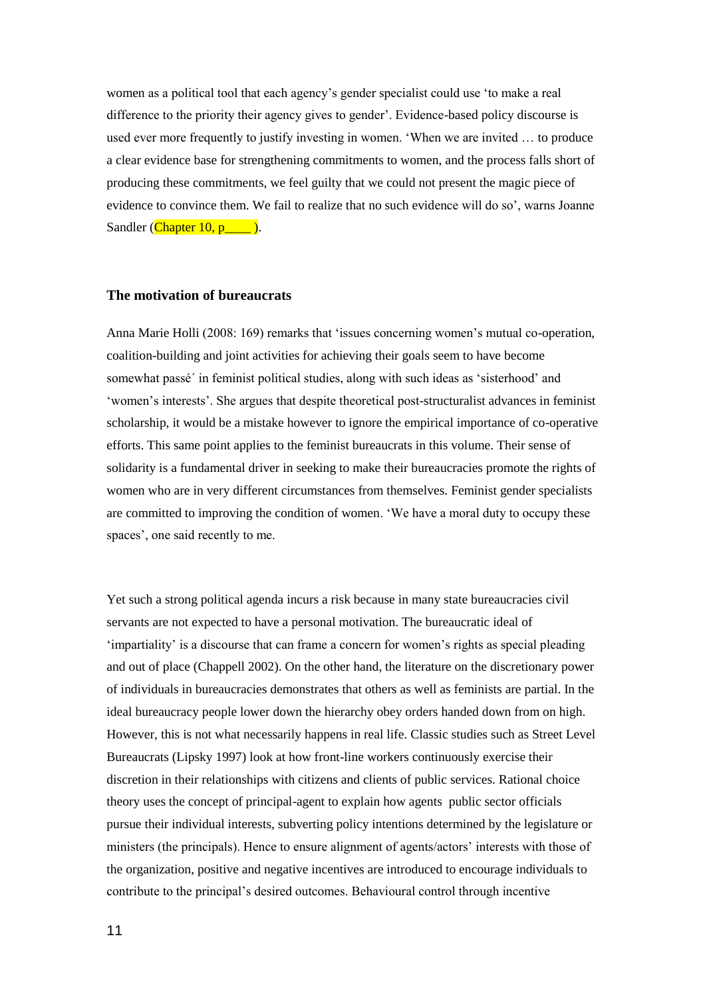women as a political tool that each agency's gender specialist could use 'to make a real difference to the priority their agency gives to gender'. Evidence-based policy discourse is used ever more frequently to justify investing in women. 'When we are invited … to produce a clear evidence base for strengthening commitments to women, and the process falls short of producing these commitments, we feel guilty that we could not present the magic piece of evidence to convince them. We fail to realize that no such evidence will do so', warns Joanne Sandler ( $Chapter 10, p$ ).

#### **The motivation of bureaucrats**

Anna Marie Holli (2008: 169) remarks that 'issues concerning women's mutual co-operation, coalition-building and joint activities for achieving their goals seem to have become somewhat passé´ in feminist political studies, along with such ideas as 'sisterhood' and 'women's interests'. She argues that despite theoretical post-structuralist advances in feminist scholarship, it would be a mistake however to ignore the empirical importance of co-operative efforts. This same point applies to the feminist bureaucrats in this volume. Their sense of solidarity is a fundamental driver in seeking to make their bureaucracies promote the rights of women who are in very different circumstances from themselves. Feminist gender specialists are committed to improving the condition of women. 'We have a moral duty to occupy these spaces', one said recently to me.

Yet such a strong political agenda incurs a risk because in many state bureaucracies civil servants are not expected to have a personal motivation. The bureaucratic ideal of 'impartiality' is a discourse that can frame a concern for women's rights as special pleading and out of place (Chappell 2002). On the other hand, the literature on the discretionary power of individuals in bureaucracies demonstrates that others as well as feminists are partial. In the ideal bureaucracy people lower down the hierarchy obey orders handed down from on high. However, this is not what necessarily happens in real life. Classic studies such as Street Level Bureaucrats (Lipsky 1997) look at how front-line workers continuously exercise their discretion in their relationships with citizens and clients of public services. Rational choice theory uses the concept of principal-agent to explain how agents public sector officials pursue their individual interests, subverting policy intentions determined by the legislature or ministers (the principals). Hence to ensure alignment of agents/actors' interests with those of the organization, positive and negative incentives are introduced to encourage individuals to contribute to the principal's desired outcomes. Behavioural control through incentive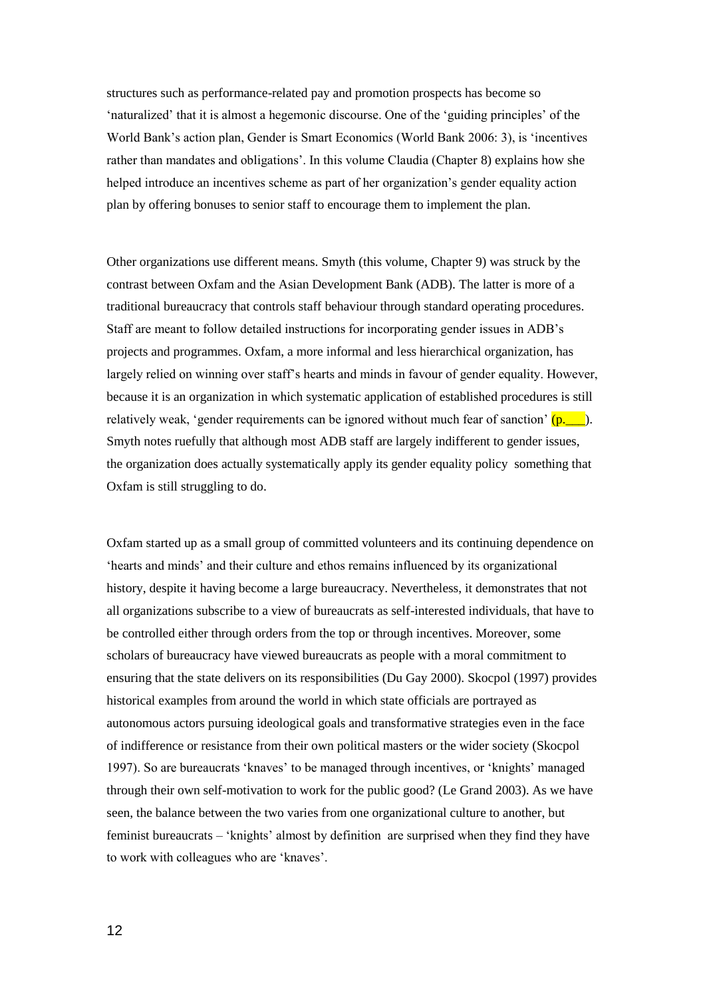structures such as performance-related pay and promotion prospects has become so 'naturalized' that it is almost a hegemonic discourse. One of the 'guiding principles' of the World Bank's action plan, Gender is Smart Economics (World Bank 2006: 3), is 'incentives rather than mandates and obligations'. In this volume Claudia (Chapter 8) explains how she helped introduce an incentives scheme as part of her organization's gender equality action plan by offering bonuses to senior staff to encourage them to implement the plan.

Other organizations use different means. Smyth (this volume, Chapter 9) was struck by the contrast between Oxfam and the Asian Development Bank (ADB). The latter is more of a traditional bureaucracy that controls staff behaviour through standard operating procedures. Staff are meant to follow detailed instructions for incorporating gender issues in ADB's projects and programmes. Oxfam, a more informal and less hierarchical organization, has largely relied on winning over staff's hearts and minds in favour of gender equality. However, because it is an organization in which systematic application of established procedures is still relatively weak, 'gender requirements can be ignored without much fear of sanction'  $(p_{\cdot \cdot \cdot})$ . Smyth notes ruefully that although most ADB staff are largely indifferent to gender issues, the organization does actually systematically apply its gender equality policy something that Oxfam is still struggling to do.

Oxfam started up as a small group of committed volunteers and its continuing dependence on 'hearts and minds' and their culture and ethos remains influenced by its organizational history, despite it having become a large bureaucracy. Nevertheless, it demonstrates that not all organizations subscribe to a view of bureaucrats as self-interested individuals, that have to be controlled either through orders from the top or through incentives. Moreover, some scholars of bureaucracy have viewed bureaucrats as people with a moral commitment to ensuring that the state delivers on its responsibilities (Du Gay 2000). Skocpol (1997) provides historical examples from around the world in which state officials are portrayed as autonomous actors pursuing ideological goals and transformative strategies even in the face of indifference or resistance from their own political masters or the wider society (Skocpol 1997). So are bureaucrats 'knaves' to be managed through incentives, or 'knights' managed through their own self-motivation to work for the public good? (Le Grand 2003). As we have seen, the balance between the two varies from one organizational culture to another, but feminist bureaucrats – 'knights' almost by definition are surprised when they find they have to work with colleagues who are 'knaves'.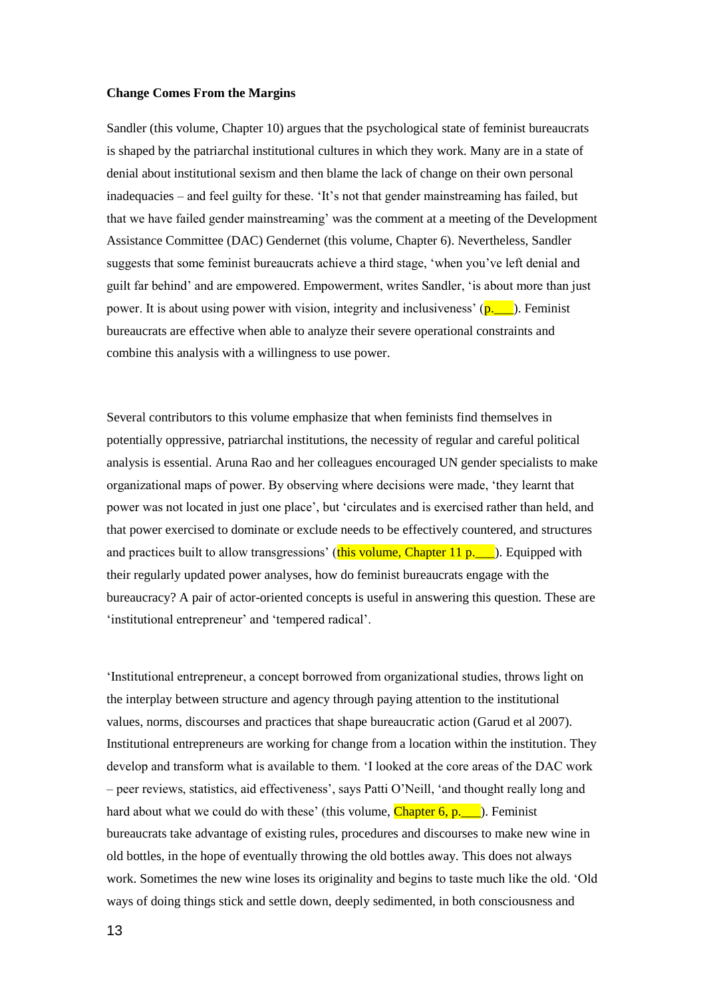#### **Change Comes From the Margins**

Sandler (this volume, Chapter 10) argues that the psychological state of feminist bureaucrats is shaped by the patriarchal institutional cultures in which they work. Many are in a state of denial about institutional sexism and then blame the lack of change on their own personal inadequacies – and feel guilty for these. 'It's not that gender mainstreaming has failed, but that we have failed gender mainstreaming' was the comment at a meeting of the Development Assistance Committee (DAC) Gendernet (this volume, Chapter 6). Nevertheless, Sandler suggests that some feminist bureaucrats achieve a third stage, 'when you've left denial and guilt far behind' and are empowered. Empowerment, writes Sandler, 'is about more than just power. It is about using power with vision, integrity and inclusiveness'  $(p_1, \ldots)$ . Feminist bureaucrats are effective when able to analyze their severe operational constraints and combine this analysis with a willingness to use power.

Several contributors to this volume emphasize that when feminists find themselves in potentially oppressive, patriarchal institutions, the necessity of regular and careful political analysis is essential. Aruna Rao and her colleagues encouraged UN gender specialists to make organizational maps of power. By observing where decisions were made, 'they learnt that power was not located in just one place', but 'circulates and is exercised rather than held, and that power exercised to dominate or exclude needs to be effectively countered, and structures and practices built to allow transgressions' (this volume, Chapter 11 p.  $\Box$ ). Equipped with their regularly updated power analyses, how do feminist bureaucrats engage with the bureaucracy? A pair of actor-oriented concepts is useful in answering this question. These are 'institutional entrepreneur' and 'tempered radical'.

'Institutional entrepreneur, a concept borrowed from organizational studies, throws light on the interplay between structure and agency through paying attention to the institutional values, norms, discourses and practices that shape bureaucratic action (Garud et al 2007). Institutional entrepreneurs are working for change from a location within the institution. They develop and transform what is available to them. 'I looked at the core areas of the DAC work – peer reviews, statistics, aid effectiveness', says Patti O'Neill, 'and thought really long and hard about what we could do with these' (this volume, Chapter  $6, p$ . ). Feminist bureaucrats take advantage of existing rules, procedures and discourses to make new wine in old bottles, in the hope of eventually throwing the old bottles away. This does not always work. Sometimes the new wine loses its originality and begins to taste much like the old. 'Old ways of doing things stick and settle down, deeply sedimented, in both consciousness and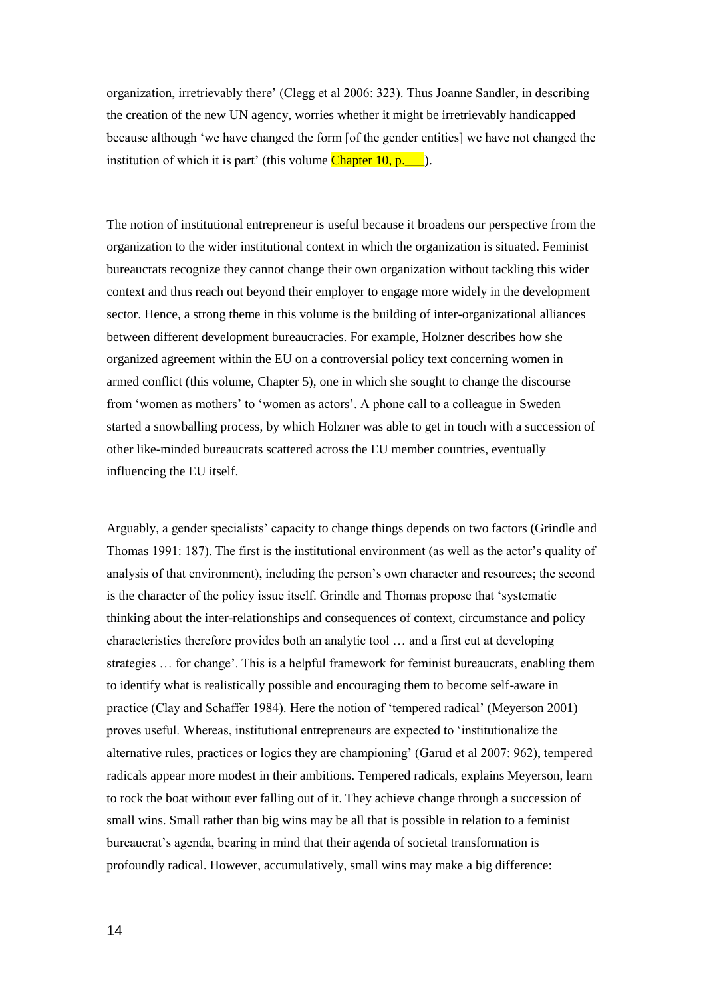organization, irretrievably there' (Clegg et al 2006: 323). Thus Joanne Sandler, in describing the creation of the new UN agency, worries whether it might be irretrievably handicapped because although 'we have changed the form [of the gender entities] we have not changed the institution of which it is part' (this volume  $Chapter 10, p.$ ).

The notion of institutional entrepreneur is useful because it broadens our perspective from the organization to the wider institutional context in which the organization is situated. Feminist bureaucrats recognize they cannot change their own organization without tackling this wider context and thus reach out beyond their employer to engage more widely in the development sector. Hence, a strong theme in this volume is the building of inter-organizational alliances between different development bureaucracies. For example, Holzner describes how she organized agreement within the EU on a controversial policy text concerning women in armed conflict (this volume, Chapter 5), one in which she sought to change the discourse from 'women as mothers' to 'women as actors'. A phone call to a colleague in Sweden started a snowballing process, by which Holzner was able to get in touch with a succession of other like-minded bureaucrats scattered across the EU member countries, eventually influencing the EU itself.

Arguably, a gender specialists' capacity to change things depends on two factors (Grindle and Thomas 1991: 187). The first is the institutional environment (as well as the actor's quality of analysis of that environment), including the person's own character and resources; the second is the character of the policy issue itself. Grindle and Thomas propose that 'systematic thinking about the inter-relationships and consequences of context, circumstance and policy characteristics therefore provides both an analytic tool … and a first cut at developing strategies … for change'. This is a helpful framework for feminist bureaucrats, enabling them to identify what is realistically possible and encouraging them to become self-aware in practice (Clay and Schaffer 1984). Here the notion of 'tempered radical' (Meyerson 2001) proves useful. Whereas, institutional entrepreneurs are expected to 'institutionalize the alternative rules, practices or logics they are championing' (Garud et al 2007: 962), tempered radicals appear more modest in their ambitions. Tempered radicals, explains Meyerson, learn to rock the boat without ever falling out of it. They achieve change through a succession of small wins. Small rather than big wins may be all that is possible in relation to a feminist bureaucrat's agenda, bearing in mind that their agenda of societal transformation is profoundly radical. However, accumulatively, small wins may make a big difference: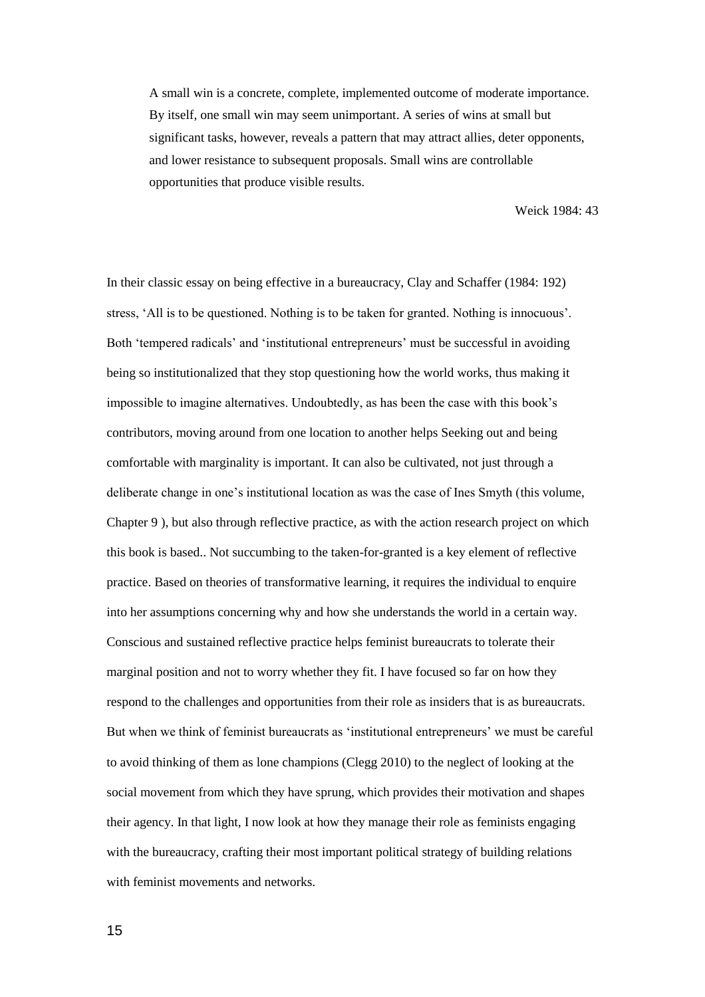A small win is a concrete, complete, implemented outcome of moderate importance. By itself, one small win may seem unimportant. A series of wins at small but significant tasks, however, reveals a pattern that may attract allies, deter opponents, and lower resistance to subsequent proposals. Small wins are controllable opportunities that produce visible results.

Weick 1984: 43

In their classic essay on being effective in a bureaucracy, Clay and Schaffer (1984: 192) stress, 'All is to be questioned. Nothing is to be taken for granted. Nothing is innocuous'. Both 'tempered radicals' and 'institutional entrepreneurs' must be successful in avoiding being so institutionalized that they stop questioning how the world works, thus making it impossible to imagine alternatives. Undoubtedly, as has been the case with this book's contributors, moving around from one location to another helps Seeking out and being comfortable with marginality is important. It can also be cultivated, not just through a deliberate change in one's institutional location as was the case of Ines Smyth (this volume, Chapter 9 ), but also through reflective practice, as with the action research project on which this book is based.. Not succumbing to the taken-for-granted is a key element of reflective practice. Based on theories of transformative learning, it requires the individual to enquire into her assumptions concerning why and how she understands the world in a certain way. Conscious and sustained reflective practice helps feminist bureaucrats to tolerate their marginal position and not to worry whether they fit. I have focused so far on how they respond to the challenges and opportunities from their role as insiders that is as bureaucrats. But when we think of feminist bureaucrats as 'institutional entrepreneurs' we must be careful to avoid thinking of them as lone champions (Clegg 2010) to the neglect of looking at the social movement from which they have sprung, which provides their motivation and shapes their agency. In that light, I now look at how they manage their role as feminists engaging with the bureaucracy, crafting their most important political strategy of building relations with feminist movements and networks.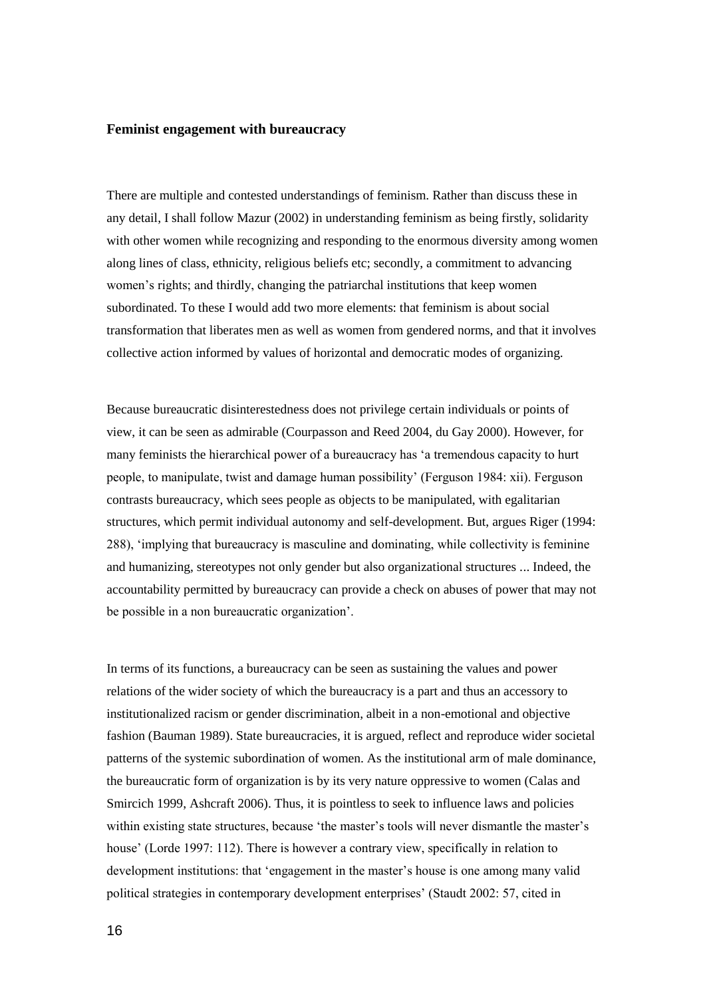#### **Feminist engagement with bureaucracy**

There are multiple and contested understandings of feminism. Rather than discuss these in any detail, I shall follow Mazur (2002) in understanding feminism as being firstly, solidarity with other women while recognizing and responding to the enormous diversity among women along lines of class, ethnicity, religious beliefs etc; secondly, a commitment to advancing women's rights; and thirdly, changing the patriarchal institutions that keep women subordinated. To these I would add two more elements: that feminism is about social transformation that liberates men as well as women from gendered norms, and that it involves collective action informed by values of horizontal and democratic modes of organizing.

Because bureaucratic disinterestedness does not privilege certain individuals or points of view, it can be seen as admirable (Courpasson and Reed 2004, du Gay 2000). However, for many feminists the hierarchical power of a bureaucracy has 'a tremendous capacity to hurt people, to manipulate, twist and damage human possibility' (Ferguson 1984: xii). Ferguson contrasts bureaucracy, which sees people as objects to be manipulated, with egalitarian structures, which permit individual autonomy and self-development. But, argues Riger (1994: 288), 'implying that bureaucracy is masculine and dominating, while collectivity is feminine and humanizing, stereotypes not only gender but also organizational structures ... Indeed, the accountability permitted by bureaucracy can provide a check on abuses of power that may not be possible in a non bureaucratic organization'.

In terms of its functions, a bureaucracy can be seen as sustaining the values and power relations of the wider society of which the bureaucracy is a part and thus an accessory to institutionalized racism or gender discrimination, albeit in a non-emotional and objective fashion (Bauman 1989). State bureaucracies, it is argued, reflect and reproduce wider societal patterns of the systemic subordination of women. As the institutional arm of male dominance, the bureaucratic form of organization is by its very nature oppressive to women (Calas and Smircich 1999, Ashcraft 2006). Thus, it is pointless to seek to influence laws and policies within existing state structures, because 'the master's tools will never dismantle the master's house' (Lorde 1997: 112). There is however a contrary view, specifically in relation to development institutions: that 'engagement in the master's house is one among many valid political strategies in contemporary development enterprises' (Staudt 2002: 57, cited in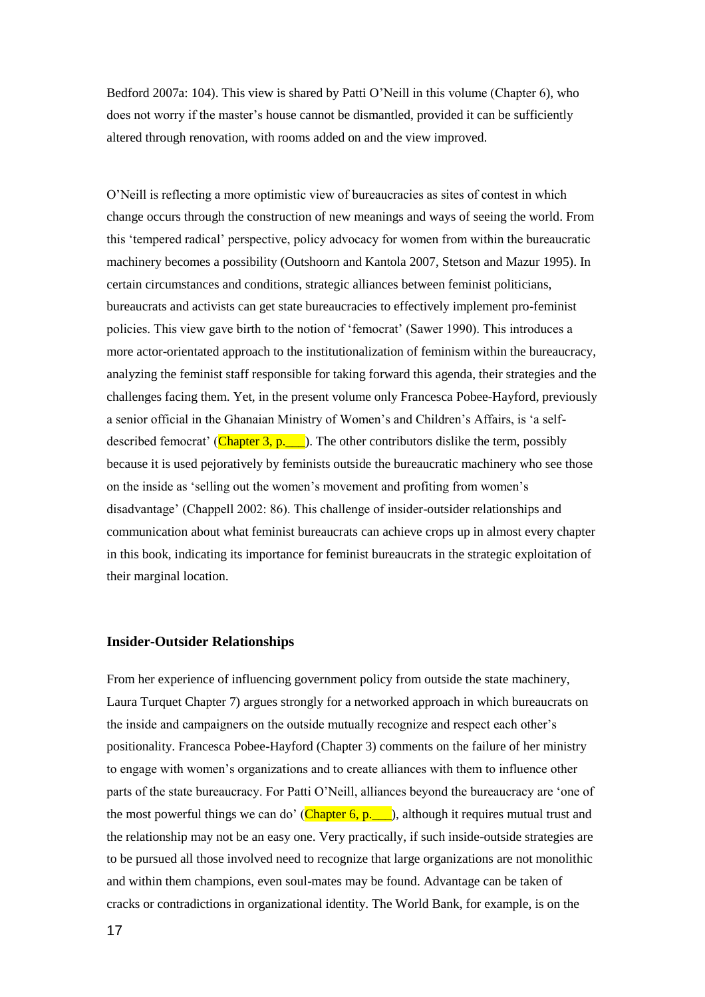Bedford 2007a: 104). This view is shared by Patti O'Neill in this volume (Chapter 6), who does not worry if the master's house cannot be dismantled, provided it can be sufficiently altered through renovation, with rooms added on and the view improved.

O'Neill is reflecting a more optimistic view of bureaucracies as sites of contest in which change occurs through the construction of new meanings and ways of seeing the world. From this 'tempered radical' perspective, policy advocacy for women from within the bureaucratic machinery becomes a possibility (Outshoorn and Kantola 2007, Stetson and Mazur 1995). In certain circumstances and conditions, strategic alliances between feminist politicians, bureaucrats and activists can get state bureaucracies to effectively implement pro-feminist policies. This view gave birth to the notion of 'femocrat' (Sawer 1990). This introduces a more actor-orientated approach to the institutionalization of feminism within the bureaucracy, analyzing the feminist staff responsible for taking forward this agenda, their strategies and the challenges facing them. Yet, in the present volume only Francesca Pobee-Hayford, previously a senior official in the Ghanaian Ministry of Women's and Children's Affairs, is 'a selfdescribed femocrat' (Chapter 3, p.  $\Box$ ). The other contributors dislike the term, possibly because it is used pejoratively by feminists outside the bureaucratic machinery who see those on the inside as 'selling out the women's movement and profiting from women's disadvantage' (Chappell 2002: 86). This challenge of insider-outsider relationships and communication about what feminist bureaucrats can achieve crops up in almost every chapter in this book, indicating its importance for feminist bureaucrats in the strategic exploitation of their marginal location.

#### **Insider-Outsider Relationships**

From her experience of influencing government policy from outside the state machinery, Laura Turquet Chapter 7) argues strongly for a networked approach in which bureaucrats on the inside and campaigners on the outside mutually recognize and respect each other's positionality. Francesca Pobee-Hayford (Chapter 3) comments on the failure of her ministry to engage with women's organizations and to create alliances with them to influence other parts of the state bureaucracy. For Patti O'Neill, alliances beyond the bureaucracy are 'one of the most powerful things we can do' (Chapter 6, p.  $\blacksquare$ ), although it requires mutual trust and the relationship may not be an easy one. Very practically, if such inside-outside strategies are to be pursued all those involved need to recognize that large organizations are not monolithic and within them champions, even soul-mates may be found. Advantage can be taken of cracks or contradictions in organizational identity. The World Bank, for example, is on the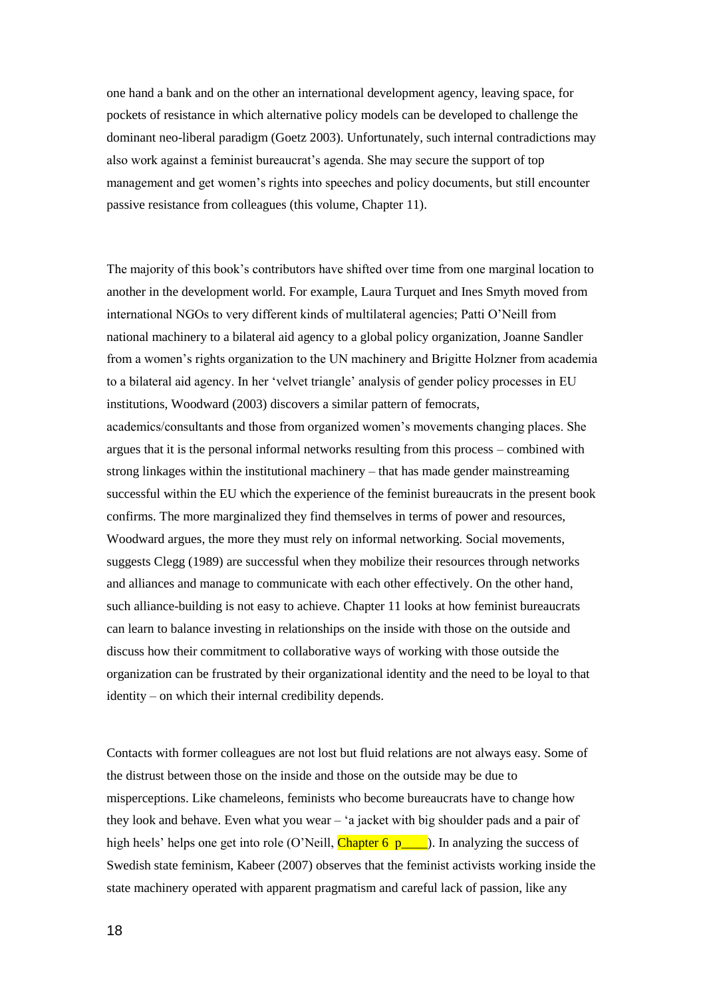one hand a bank and on the other an international development agency, leaving space, for pockets of resistance in which alternative policy models can be developed to challenge the dominant neo-liberal paradigm (Goetz 2003). Unfortunately, such internal contradictions may also work against a feminist bureaucrat's agenda. She may secure the support of top management and get women's rights into speeches and policy documents, but still encounter passive resistance from colleagues (this volume, Chapter 11).

The majority of this book's contributors have shifted over time from one marginal location to another in the development world. For example, Laura Turquet and Ines Smyth moved from international NGOs to very different kinds of multilateral agencies; Patti O'Neill from national machinery to a bilateral aid agency to a global policy organization, Joanne Sandler from a women's rights organization to the UN machinery and Brigitte Holzner from academia to a bilateral aid agency. In her 'velvet triangle' analysis of gender policy processes in EU institutions, Woodward (2003) discovers a similar pattern of femocrats, academics/consultants and those from organized women's movements changing places. She argues that it is the personal informal networks resulting from this process – combined with strong linkages within the institutional machinery – that has made gender mainstreaming successful within the EU which the experience of the feminist bureaucrats in the present book confirms. The more marginalized they find themselves in terms of power and resources, Woodward argues, the more they must rely on informal networking. Social movements, suggests Clegg (1989) are successful when they mobilize their resources through networks and alliances and manage to communicate with each other effectively. On the other hand, such alliance-building is not easy to achieve. Chapter 11 looks at how feminist bureaucrats can learn to balance investing in relationships on the inside with those on the outside and discuss how their commitment to collaborative ways of working with those outside the organization can be frustrated by their organizational identity and the need to be loyal to that identity – on which their internal credibility depends.

Contacts with former colleagues are not lost but fluid relations are not always easy. Some of the distrust between those on the inside and those on the outside may be due to misperceptions. Like chameleons, feminists who become bureaucrats have to change how they look and behave. Even what you wear – 'a jacket with big shoulder pads and a pair of high heels' helps one get into role (O'Neill, Chapter 6 p\_\_\_\_). In analyzing the success of Swedish state feminism, Kabeer (2007) observes that the feminist activists working inside the state machinery operated with apparent pragmatism and careful lack of passion, like any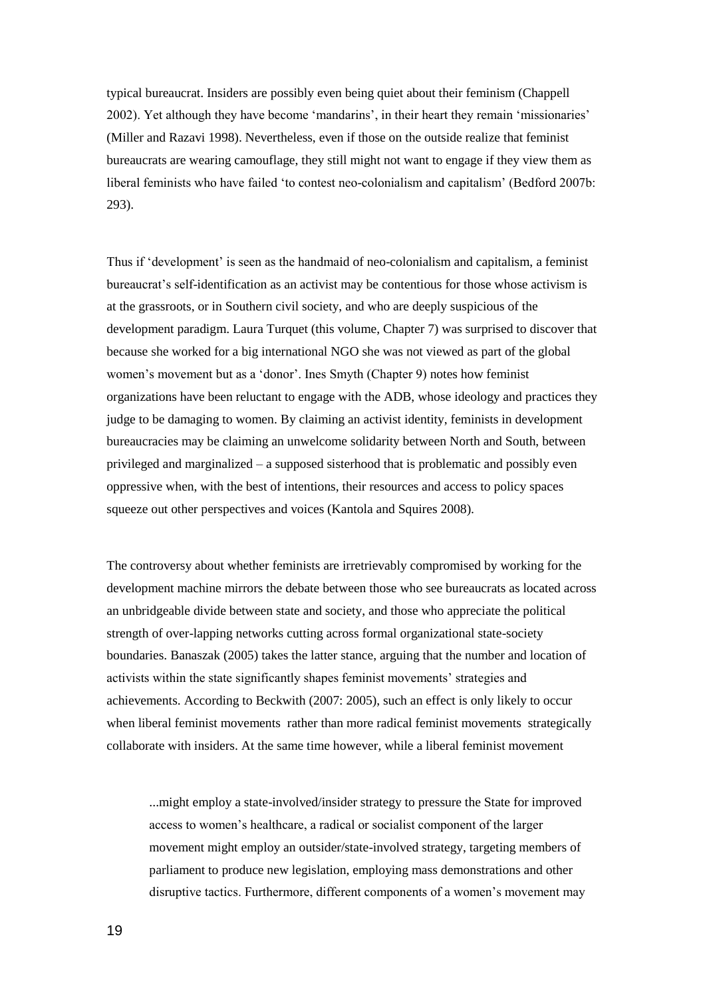typical bureaucrat. Insiders are possibly even being quiet about their feminism (Chappell 2002). Yet although they have become 'mandarins', in their heart they remain 'missionaries' (Miller and Razavi 1998). Nevertheless, even if those on the outside realize that feminist bureaucrats are wearing camouflage, they still might not want to engage if they view them as liberal feminists who have failed 'to contest neo-colonialism and capitalism' (Bedford 2007b: 293).

Thus if 'development' is seen as the handmaid of neo-colonialism and capitalism, a feminist bureaucrat's self-identification as an activist may be contentious for those whose activism is at the grassroots, or in Southern civil society, and who are deeply suspicious of the development paradigm. Laura Turquet (this volume, Chapter 7) was surprised to discover that because she worked for a big international NGO she was not viewed as part of the global women's movement but as a 'donor'. Ines Smyth (Chapter 9) notes how feminist organizations have been reluctant to engage with the ADB, whose ideology and practices they judge to be damaging to women. By claiming an activist identity, feminists in development bureaucracies may be claiming an unwelcome solidarity between North and South, between privileged and marginalized – a supposed sisterhood that is problematic and possibly even oppressive when, with the best of intentions, their resources and access to policy spaces squeeze out other perspectives and voices (Kantola and Squires 2008).

The controversy about whether feminists are irretrievably compromised by working for the development machine mirrors the debate between those who see bureaucrats as located across an unbridgeable divide between state and society, and those who appreciate the political strength of over-lapping networks cutting across formal organizational state-society boundaries. Banaszak (2005) takes the latter stance, arguing that the number and location of activists within the state significantly shapes feminist movements' strategies and achievements. According to Beckwith (2007: 2005), such an effect is only likely to occur when liberal feminist movements rather than more radical feminist movements strategically collaborate with insiders. At the same time however, while a liberal feminist movement

...might employ a state-involved/insider strategy to pressure the State for improved access to women's healthcare, a radical or socialist component of the larger movement might employ an outsider/state-involved strategy, targeting members of parliament to produce new legislation, employing mass demonstrations and other disruptive tactics. Furthermore, different components of a women's movement may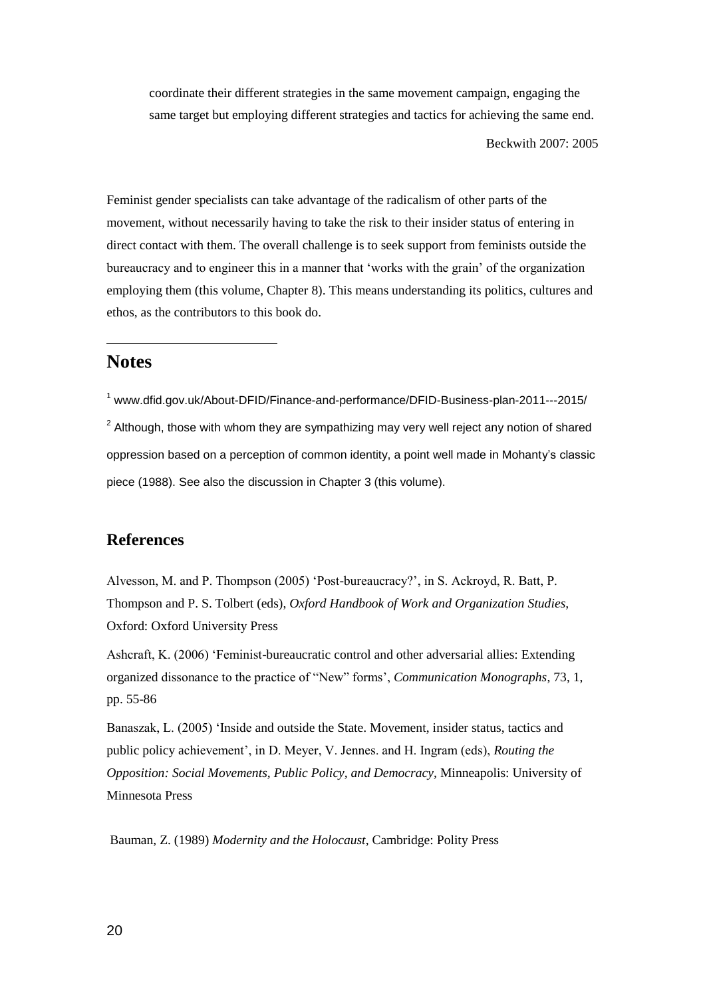coordinate their different strategies in the same movement campaign, engaging the same target but employing different strategies and tactics for achieving the same end.

Beckwith 2007: 2005

Feminist gender specialists can take advantage of the radicalism of other parts of the movement, without necessarily having to take the risk to their insider status of entering in direct contact with them. The overall challenge is to seek support from feminists outside the bureaucracy and to engineer this in a manner that 'works with the grain' of the organization employing them (this volume, Chapter 8). This means understanding its politics, cultures and ethos, as the contributors to this book do.

# **Notes**

 $\overline{a}$ 

<sup>1</sup> www.dfid.gov.uk/About-DFID/Finance-and-performance/DFID-Business-plan-2011---2015/  $2$  Although, those with whom they are sympathizing may very well reject any notion of shared oppression based on a perception of common identity, a point well made in Mohanty's classic piece (1988). See also the discussion in Chapter 3 (this volume).

# **References**

Alvesson, M. and P. Thompson (2005) 'Post-bureaucracy?', in S. Ackroyd, R. Batt, P. Thompson and P. S. Tolbert (eds), *Oxford Handbook of Work and Organization Studies,* Oxford: Oxford University Press

Ashcraft, K. (2006) 'Feminist-bureaucratic control and other adversarial allies: Extending organized dissonance to the practice of "New" forms', *Communication Monographs*, 73, 1, pp. 55-86

Banaszak, L. (2005) 'Inside and outside the State. Movement, insider status, tactics and public policy achievement', in D. Meyer, V. Jennes. and H. Ingram (eds), *Routing the Opposition: Social Movements, Public Policy, and Democracy,* Minneapolis: University of Minnesota Press

Bauman, Z. (1989) *Modernity and the Holocaust*, Cambridge: Polity Press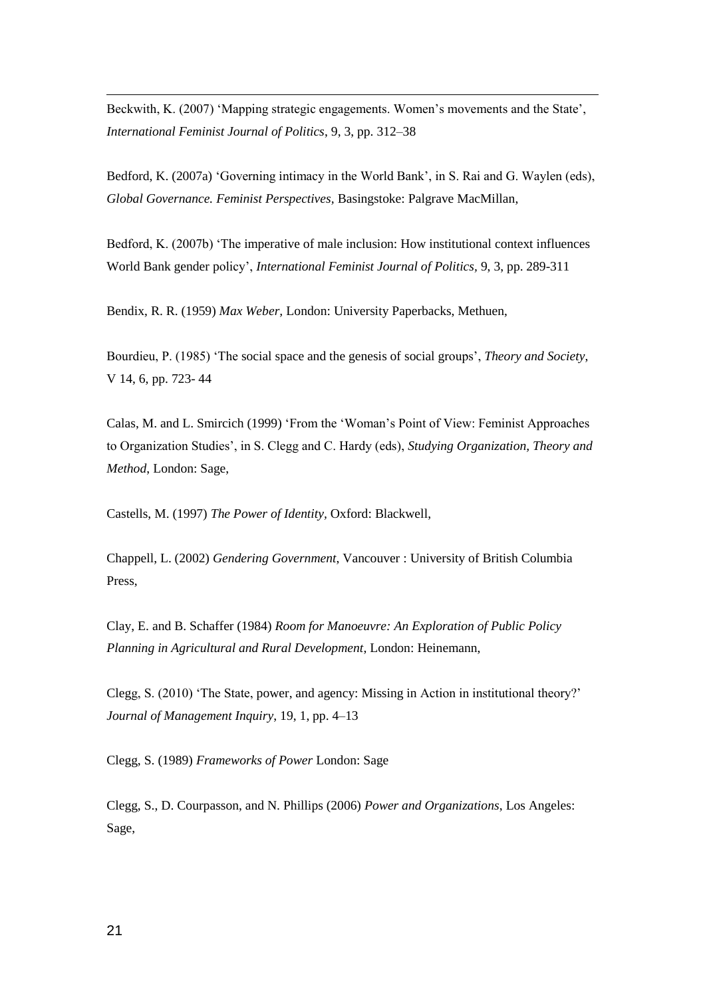Beckwith, K. (2007) 'Mapping strategic engagements. Women's movements and the State', *International Feminist Journal of Politics*, 9, 3, pp. 312–38

Bedford, K. (2007a) 'Governing intimacy in the World Bank', in S. Rai and G. Waylen (eds), *Global Governance. Feminist Perspectives,* Basingstoke: Palgrave MacMillan,

Bedford, K. (2007b) 'The imperative of male inclusion: How institutional context influences World Bank gender policy', *International Feminist Journal of Politics,* 9, 3, pp. 289-311

Bendix, R. R. (1959) *Max Weber,* London: University Paperbacks, Methuen,

Bourdieu, P. (1985) 'The social space and the genesis of social groups', *Theory and Society*, V 14, 6, pp. 723- 44

Calas, M. and L. Smircich (1999) 'From the 'Woman's Point of View: Feminist Approaches to Organization Studies', in S. Clegg and C. Hardy (eds), *Studying Organization, Theory and Method*, London: Sage,

Castells, M. (1997) *The Power of Identity,* Oxford: Blackwell,

Chappell, L. (2002) *Gendering Government*, Vancouver : University of British Columbia Press,

Clay, E. and B. Schaffer (1984) *Room for Manoeuvre: An Exploration of Public Policy Planning in Agricultural and Rural Development*, London: Heinemann,

Clegg, S. (2010) 'The State, power, and agency: Missing in Action in institutional theory?' *Journal of Management Inquiry*, 19, 1, pp. 4–13

Clegg, S. (1989) *Frameworks of Power* London: Sage

Clegg, S., D. Courpasson, and N. Phillips (2006) *Power and Organizations*, Los Angeles: Sage,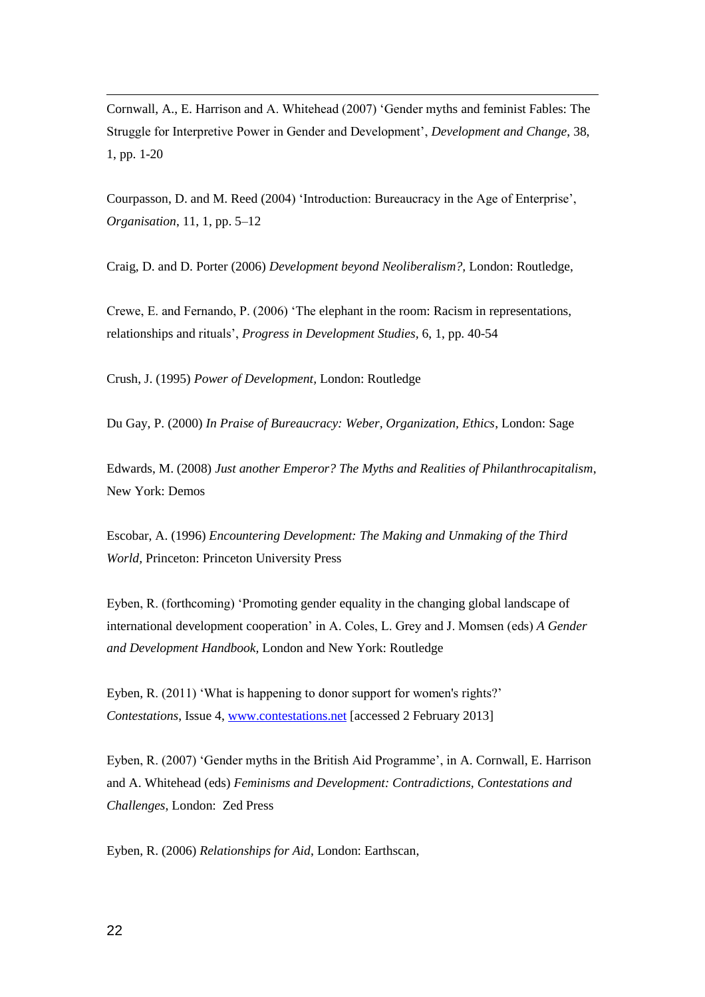Cornwall, A., E. Harrison and A. Whitehead (2007) 'Gender myths and feminist Fables: The Struggle for Interpretive Power in Gender and Development', *Development and Change*, 38, 1, pp. 1-20

Courpasson, D. and M. Reed (2004) 'Introduction: Bureaucracy in the Age of Enterprise', *Organisation*, 11, 1, pp. 5–12

Craig, D. and D. Porter (2006) *Development beyond Neoliberalism?,* London: Routledge,

Crewe, E. and Fernando, P. (2006) 'The elephant in the room: Racism in representations, relationships and rituals', *Progress in Development Studies,* 6, 1, pp. 40-54

Crush, J. (1995) *Power of Development,* London: Routledge

Du Gay, P. (2000) *In Praise of Bureaucracy: Weber, Organization, Ethics*, London: Sage

Edwards, M. (2008) *Just another Emperor? The Myths and Realities of Philanthrocapitalism*, New York: Demos

Escobar, A. (1996) *Encountering Development: The Making and Unmaking of the Third World,* Princeton: Princeton University Press

Eyben, R. (forthcoming) 'Promoting gender equality in the changing global landscape of international development cooperation' in A. Coles, L. Grey and J. Momsen (eds) *A Gender and Development Handbook,* London and New York: Routledge

Eyben, R. (2011) 'What is happening to donor support for women's rights?' *Contestations*, Issue 4, [www.contestations.net](http://www.contestations.net/) [accessed 2 February 2013]

Eyben, R. (2007) 'Gender myths in the British Aid Programme', in A. Cornwall, E. Harrison and A. Whitehead (eds) *Feminisms and Development: Contradictions, Contestations and Challenges*, London: Zed Press

Eyben, R. (2006) *Relationships for Aid*, London: Earthscan,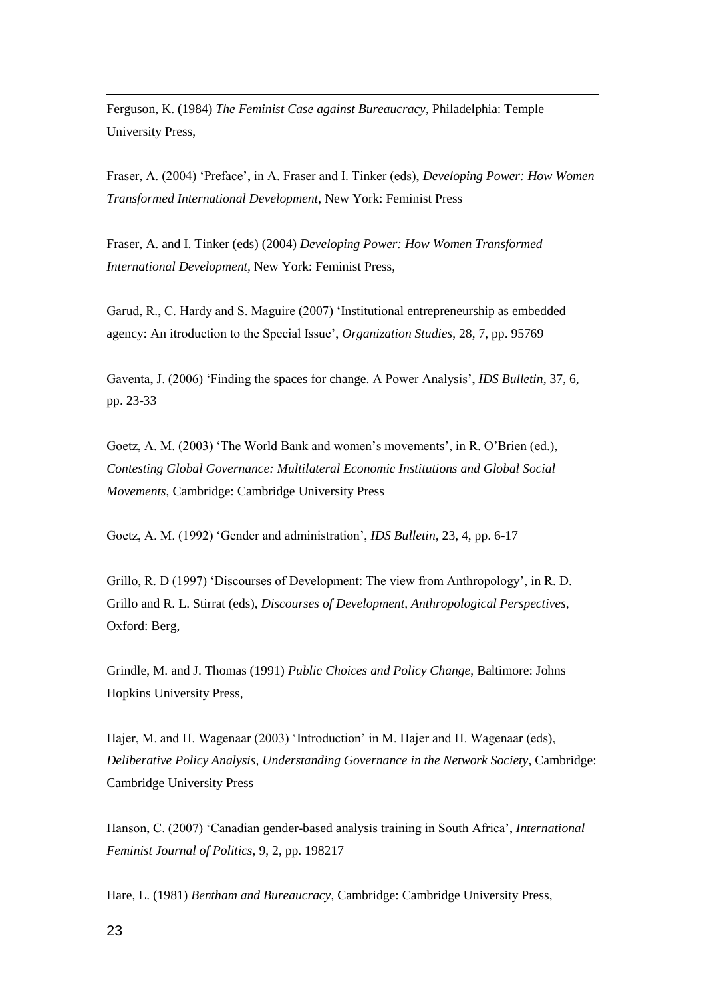Ferguson, K. (1984) *The Feminist Case against Bureaucracy*, Philadelphia: Temple University Press,

Fraser, A. (2004) 'Preface', in A. Fraser and I. Tinker (eds), *Developing Power: How Women Transformed International Development*, New York: Feminist Press

Fraser, A. and I. Tinker (eds) (2004) *Developing Power: How Women Transformed International Development,* New York: Feminist Press,

Garud, R., C. Hardy and S. Maguire (2007) 'Institutional entrepreneurship as embedded agency: An itroduction to the Special Issue', *Organization Studies*, 28, 7, pp. 95769

Gaventa, J. (2006) 'Finding the spaces for change. A Power Analysis', *IDS Bulletin*, 37, 6, pp. 23-33

Goetz, A. M. (2003) 'The World Bank and women's movements', in R. O'Brien (ed.), *Contesting Global Governance: Multilateral Economic Institutions and Global Social Movements*, Cambridge: Cambridge University Press

Goetz, A. M. (1992) 'Gender and administration', *IDS Bulletin,* 23, 4, pp. 6-17

Grillo, R. D (1997) 'Discourses of Development: The view from Anthropology', in R. D. Grillo and R. L. Stirrat (eds), *Discourses of Development, Anthropological Perspectives*, Oxford: Berg,

Grindle, M. and J. Thomas (1991) *Public Choices and Policy Change*, Baltimore: Johns Hopkins University Press,

Hajer, M. and H. Wagenaar (2003) 'Introduction' in M. Hajer and H. Wagenaar (eds), *Deliberative Policy Analysis, Understanding Governance in the Network Society*, Cambridge: Cambridge University Press

Hanson, C. (2007) 'Canadian gender-based analysis training in South Africa', *International Feminist Journal of Politics*, 9, 2, pp. 198217

Hare, L. (1981) *Bentham and Bureaucracy*, Cambridge: Cambridge University Press,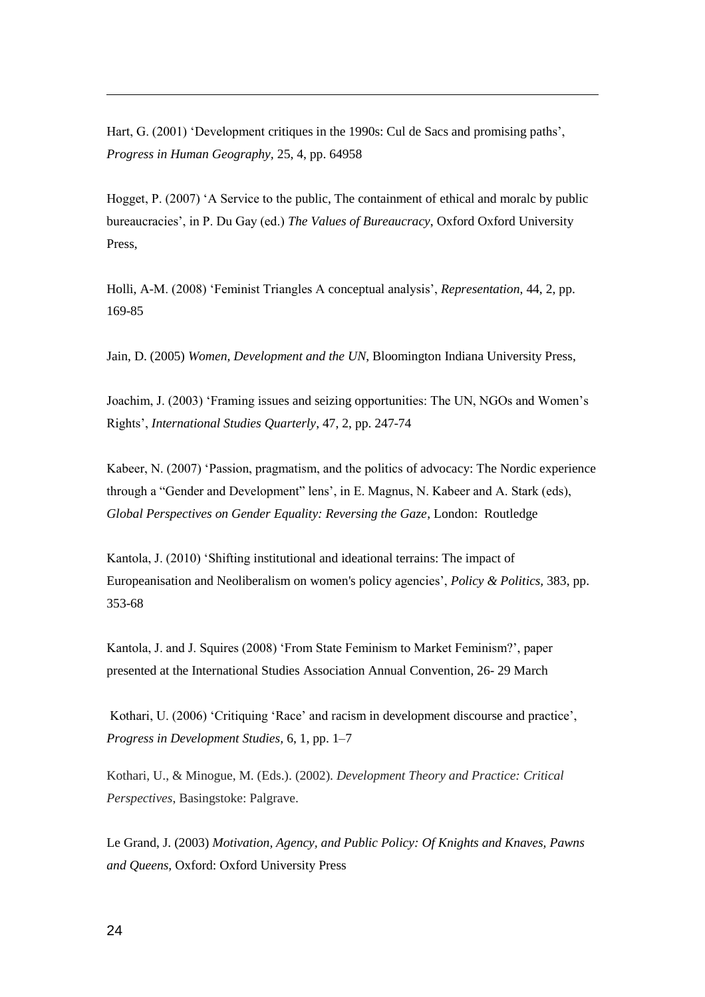Hart, G. (2001) 'Development critiques in the 1990s: Cul de Sacs and promising paths', *Progress in Human Geography,* 25, 4, pp. 64958

Hogget, P. (2007) 'A Service to the public, The containment of ethical and moralc by public bureaucracies', in P. Du Gay (ed.) *The Values of Bureaucracy*, Oxford Oxford University Press,

Holli, A-M. (2008) 'Feminist Triangles A conceptual analysis', *Representation*, 44, 2, pp. 169-85

Jain, D. (2005) *Women, Development and the UN*, Bloomington Indiana University Press,

Joachim, J. (2003) 'Framing issues and seizing opportunities: The UN, NGOs and Women's Rights', *International Studies Quarterly*, 47, 2, pp. 247-74

Kabeer, N. (2007) 'Passion, pragmatism, and the politics of advocacy: The Nordic experience through a "Gender and Development" lens', in E. Magnus, N. Kabeer and A. Stark (eds), *Global Perspectives on Gender Equality: Reversing the Gaze*, London: Routledge

Kantola, J. (2010) 'Shifting institutional and ideational terrains: The impact of Europeanisation and Neoliberalism on women's policy agencies', *Policy & Politics,* 383, pp. 353-68

Kantola, J. and J. Squires (2008) 'From State Feminism to Market Feminism?', paper presented at the International Studies Association Annual Convention, 26- 29 March

Kothari, U. (2006) 'Critiquing 'Race' and racism in development discourse and practice', *Progress in Development Studies,* 6, 1, pp. 1–7

Kothari, U., & Minogue, M. (Eds.). (2002). *Development Theory and Practice: Critical Perspectives*, Basingstoke: Palgrave.

Le Grand, J. (2003) *Motivation, Agency, and Public Policy: Of Knights and Knaves, Pawns and Queens,* Oxford: Oxford University Press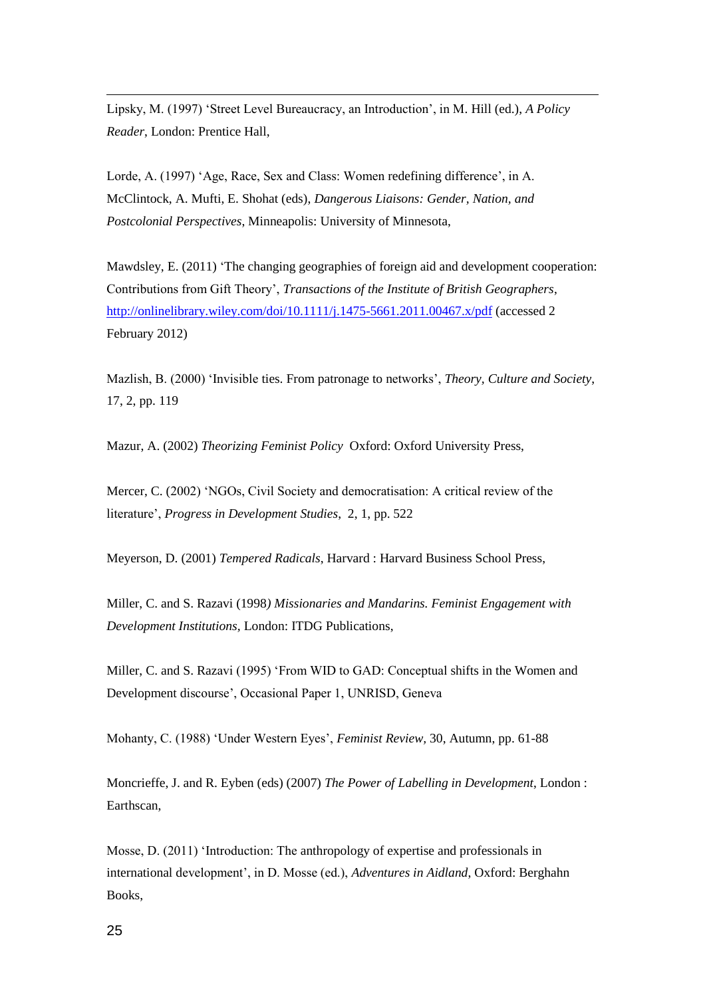Lipsky, M. (1997) 'Street Level Bureaucracy, an Introduction', in M. Hill (ed.), *A Policy Reader*, London: Prentice Hall,

Lorde, A. (1997) 'Age, Race, Sex and Class: Women redefining difference', in A. McClintock, A. Mufti, E. Shohat (eds), *Dangerous Liaisons: Gender, Nation, and Postcolonial Perspectives*, Minneapolis: University of Minnesota,

Mawdsley, E. (2011) 'The changing geographies of foreign aid and development cooperation: Contributions from Gift Theory', *Transactions of the Institute of British Geographers*, <http://onlinelibrary.wiley.com/doi/10.1111/j.1475-5661.2011.00467.x/pdf> (accessed 2 February 2012)

Mazlish, B. (2000) 'Invisible ties. From patronage to networks', *Theory, Culture and Society*, 17, 2, pp. 119

Mazur, A. (2002) *Theorizing Feminist Policy* Oxford: Oxford University Press,

Mercer, C. (2002) 'NGOs, Civil Society and democratisation: A critical review of the literature', *Progress in Development Studies*, 2, 1, pp. 522

Meyerson, D. (2001) *Tempered Radicals*, Harvard : Harvard Business School Press,

Miller, C. and S. Razavi (1998*) Missionaries and Mandarins. Feminist Engagement with Development Institutions,* London: ITDG Publications,

Miller, C. and S. Razavi (1995) 'From WID to GAD: Conceptual shifts in the Women and Development discourse', Occasional Paper 1, UNRISD, Geneva

Mohanty, C. (1988) 'Under Western Eyes', *Feminist Review,* 30, Autumn, pp. 61-88

Moncrieffe, J. and R. Eyben (eds) (2007) *The Power of Labelling in Development*, London : Earthscan,

Mosse, D. (2011) 'Introduction: The anthropology of expertise and professionals in international development', in D. Mosse (ed.), *Adventures in Aidland*, Oxford: Berghahn Books,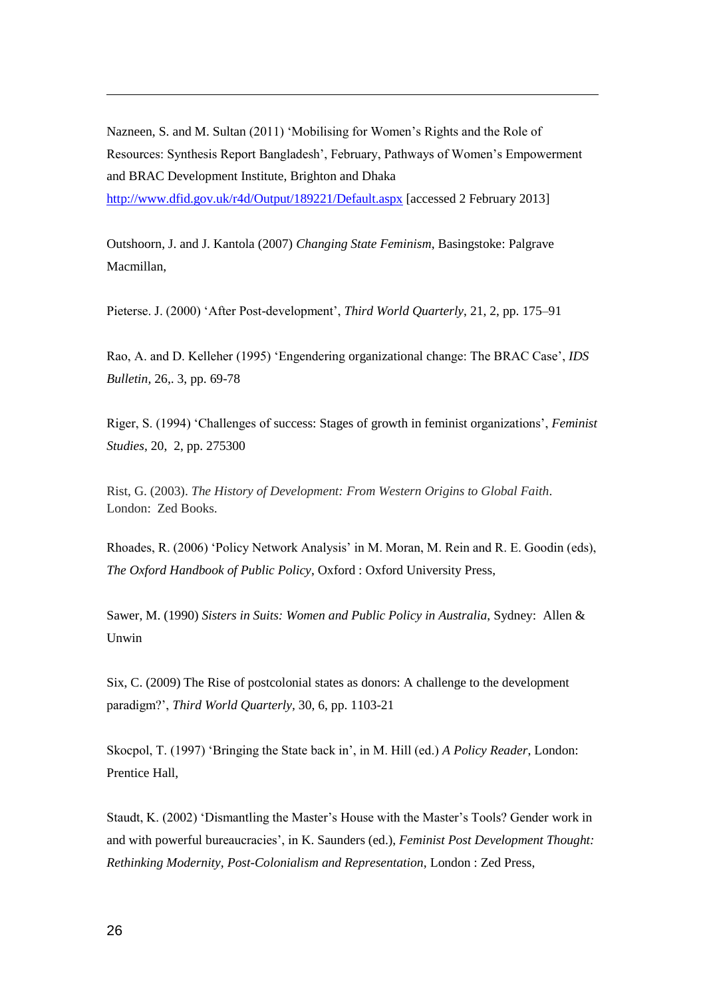Nazneen, S. and M. Sultan (2011) 'Mobilising for Women's Rights and the Role of Resources: Synthesis Report Bangladesh', February, Pathways of Women's Empowerment and BRAC Development Institute, Brighton and Dhaka <http://www.dfid.gov.uk/r4d/Output/189221/Default.aspx> [accessed 2 February 2013]

Outshoorn, J. and J. Kantola (2007) *Changing State Feminism*, Basingstoke: Palgrave Macmillan,

Pieterse. J. (2000) 'After Post-development', *Third World Quarterly*, 21, 2, pp. 175–91

Rao, A. and D. Kelleher (1995) 'Engendering organizational change: The BRAC Case', *IDS Bulletin,* 26,. 3, pp. 69-78

Riger, S. (1994) 'Challenges of success: Stages of growth in feminist organizations', *Feminist Studies*, 20, 2, pp. 275300

Rist, G. (2003). *The History of Development: From Western Origins to Global Faith*. London: Zed Books.

Rhoades, R. (2006) 'Policy Network Analysis' in M. Moran, M. Rein and R. E. Goodin (eds), *The Oxford Handbook of Public Policy*, Oxford : Oxford University Press,

Sawer, M. (1990) *Sisters in Suits: Women and Public Policy in Australia*, Sydney: Allen & Unwin

Six, C. (2009) The Rise of postcolonial states as donors: A challenge to the development paradigm?', *Third World Quarterly,* 30, 6, pp. 1103-21

Skocpol, T. (1997) 'Bringing the State back in', in M. Hill (ed.) *A Policy Reader*, London: Prentice Hall,

Staudt, K. (2002) 'Dismantling the Master's House with the Master's Tools? Gender work in and with powerful bureaucracies', in K. Saunders (ed.), *Feminist Post Development Thought: Rethinking Modernity, Post-Colonialism and Representation*, London : Zed Press,